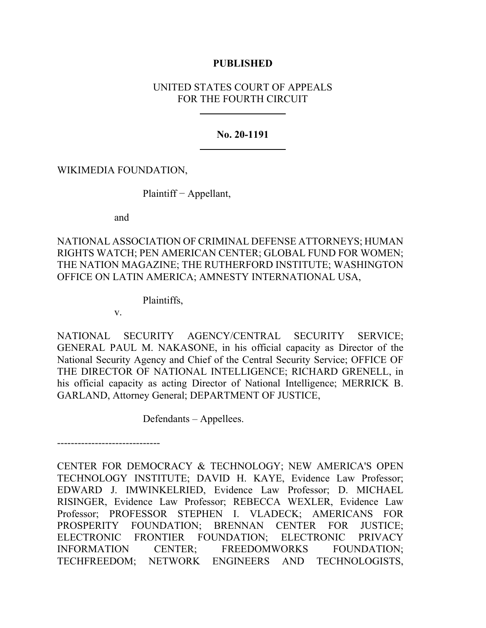## **PUBLISHED**

# UNITED STATES COURT OF APPEALS FOR THE FOURTH CIRCUIT

## **No. 20-1191**

WIKIMEDIA FOUNDATION,

Plaintiff − Appellant,

and

NATIONAL ASSOCIATION OF CRIMINAL DEFENSE ATTORNEYS; HUMAN RIGHTS WATCH; PEN AMERICAN CENTER; GLOBAL FUND FOR WOMEN; THE NATION MAGAZINE; THE RUTHERFORD INSTITUTE; WASHINGTON OFFICE ON LATIN AMERICA; AMNESTY INTERNATIONAL USA,

Plaintiffs,

v.

NATIONAL SECURITY AGENCY/CENTRAL SECURITY SERVICE; GENERAL PAUL M. NAKASONE, in his official capacity as Director of the National Security Agency and Chief of the Central Security Service; OFFICE OF THE DIRECTOR OF NATIONAL INTELLIGENCE; RICHARD GRENELL, in his official capacity as acting Director of National Intelligence; MERRICK B. GARLAND, Attorney General; DEPARTMENT OF JUSTICE,

Defendants – Appellees.

------------------------------ CENTER FOR DEMOCRACY & TECHNOLOGY; NEW AMERICA'S OPEN TECHNOLOGY INSTITUTE; DAVID H. KAYE, Evidence Law Professor; EDWARD J. IMWINKELRIED, Evidence Law Professor; D. MICHAEL RISINGER, Evidence Law Professor; REBECCA WEXLER, Evidence Law Professor; PROFESSOR STEPHEN I. VLADECK; AMERICANS FOR PROSPERITY FOUNDATION; BRENNAN CENTER FOR JUSTICE; ELECTRONIC FRONTIER FOUNDATION; ELECTRONIC PRIVACY INFORMATION CENTER; FREEDOMWORKS FOUNDATION; TECHFREEDOM; NETWORK ENGINEERS AND TECHNOLOGISTS,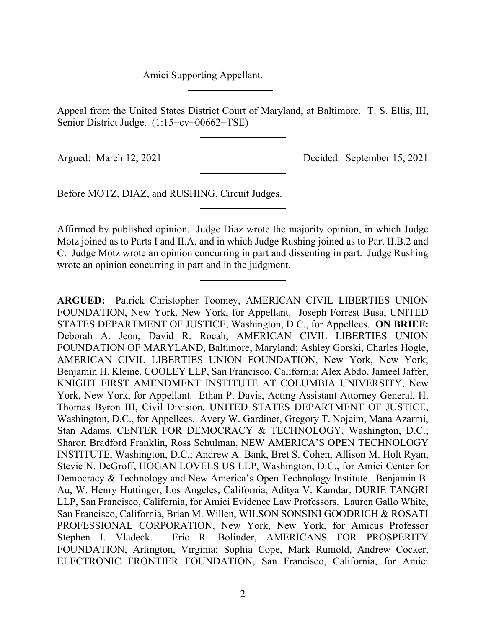Amici Supporting Appellant.

Appeal from the United States District Court of Maryland, at Baltimore. T. S. Ellis, III, Senior District Judge. (1:15−cv−00662−TSE)

Argued: March 12, 2021 Decided: September 15, 2021

Before MOTZ, DIAZ, and RUSHING, Circuit Judges.

Affirmed by published opinion. Judge Diaz wrote the majority opinion, in which Judge Motz joined as to Parts I and II.A, and in which Judge Rushing joined as to Part II.B.2 and C. Judge Motz wrote an opinion concurring in part and dissenting in part. Judge Rushing wrote an opinion concurring in part and in the judgment.

**ARGUED:** Patrick Christopher Toomey, AMERICAN CIVIL LIBERTIES UNION FOUNDATION, New York, New York, for Appellant. Joseph Forrest Busa, UNITED STATES DEPARTMENT OF JUSTICE, Washington, D.C., for Appellees. **ON BRIEF:**  Deborah A. Jeon, David R. Rocah, AMERICAN CIVIL LIBERTIES UNION FOUNDATION OF MARYLAND, Baltimore, Maryland; Ashley Gorski, Charles Hogle, AMERICAN CIVIL LIBERTIES UNION FOUNDATION, New York, New York; Benjamin H. Kleine, COOLEY LLP, San Francisco, California; Alex Abdo, Jameel Jaffer, KNIGHT FIRST AMENDMENT INSTITUTE AT COLUMBIA UNIVERSITY, New York, New York, for Appellant. Ethan P. Davis, Acting Assistant Attorney General, H. Thomas Byron III, Civil Division, UNITED STATES DEPARTMENT OF JUSTICE, Washington, D.C., for Appellees. Avery W. Gardiner, Gregory T. Nojeim, Mana Azarmi, Stan Adams, CENTER FOR DEMOCRACY & TECHNOLOGY, Washington, D.C.; Sharon Bradford Franklin, Ross Schulman, NEW AMERICA'S OPEN TECHNOLOGY INSTITUTE, Washington, D.C.; Andrew A. Bank, Bret S. Cohen, Allison M. Holt Ryan, Stevie N. DeGroff, HOGAN LOVELS US LLP, Washington, D.C., for Amici Center for Democracy & Technology and New America's Open Technology Institute. Benjamin B. Au, W. Henry Huttinger, Los Angeles, California, Aditya V. Kamdar, DURIE TANGRI LLP, San Francisco, California, for Amici Evidence Law Professors. Lauren Gallo White, San Francisco, California, Brian M. Willen, WILSON SONSINI GOODRICH & ROSATI PROFESSIONAL CORPORATION, New York, New York, for Amicus Professor Stephen I. Vladeck. Eric R. Bolinder, AMERICANS FOR PROSPERITY FOUNDATION, Arlington, Virginia; Sophia Cope, Mark Rumold, Andrew Cocker, ELECTRONIC FRONTIER FOUNDATION, San Francisco, California, for Amici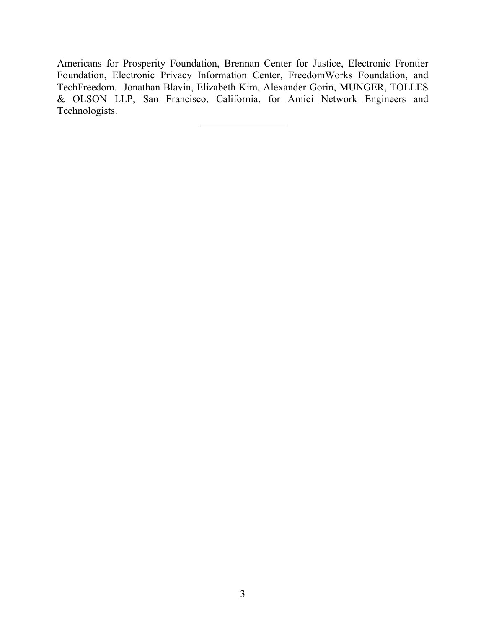Americans for Prosperity Foundation, Brennan Center for Justice, Electronic Frontier Foundation, Electronic Privacy Information Center, FreedomWorks Foundation, and TechFreedom. Jonathan Blavin, Elizabeth Kim, Alexander Gorin, MUNGER, TOLLES & OLSON LLP, San Francisco, California, for Amici Network Engineers and Technologists.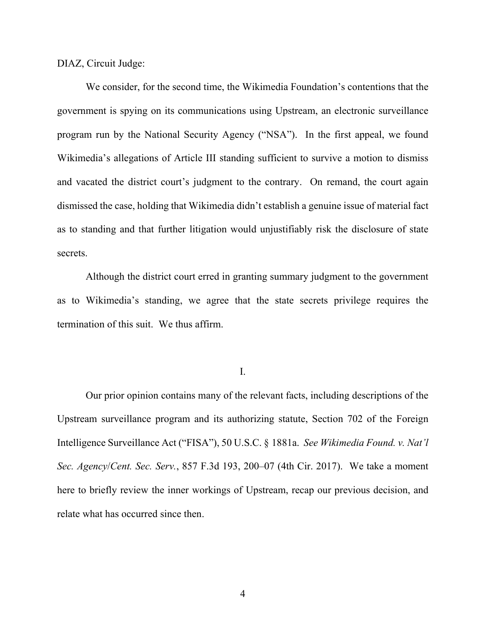DIAZ, Circuit Judge:

We consider, for the second time, the Wikimedia Foundation's contentions that the government is spying on its communications using Upstream, an electronic surveillance program run by the National Security Agency ("NSA"). In the first appeal, we found Wikimedia's allegations of Article III standing sufficient to survive a motion to dismiss and vacated the district court's judgment to the contrary. On remand, the court again dismissed the case, holding that Wikimedia didn't establish a genuine issue of material fact as to standing and that further litigation would unjustifiably risk the disclosure of state secrets.

Although the district court erred in granting summary judgment to the government as to Wikimedia's standing, we agree that the state secrets privilege requires the termination of this suit. We thus affirm.

I.

Our prior opinion contains many of the relevant facts, including descriptions of the Upstream surveillance program and its authorizing statute, Section 702 of the Foreign Intelligence Surveillance Act ("FISA"), 50 U.S.C. § 1881a. *See Wikimedia Found. v. Nat'l Sec. Agency*/*Cent. Sec. Serv.*, 857 F.3d 193, 200–07 (4th Cir. 2017). We take a moment here to briefly review the inner workings of Upstream, recap our previous decision, and relate what has occurred since then.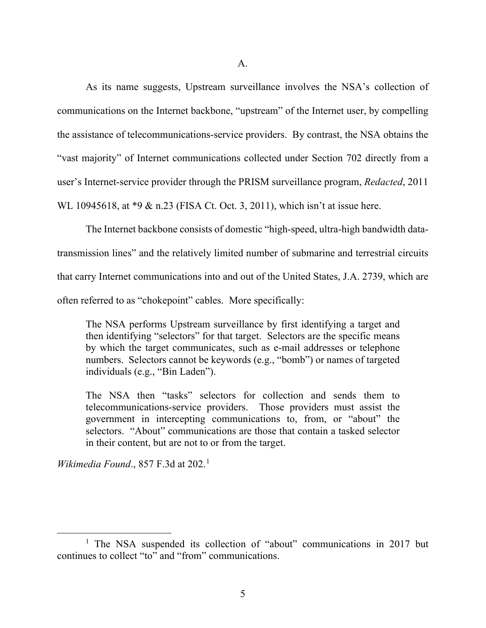As its name suggests, Upstream surveillance involves the NSA's collection of communications on the Internet backbone, "upstream" of the Internet user, by compelling the assistance of telecommunications-service providers. By contrast, the NSA obtains the "vast majority" of Internet communications collected under Section 702 directly from a user's Internet-service provider through the PRISM surveillance program, *Redacted*, 2011 WL 10945618, at \*9 & n.23 (FISA Ct. Oct. 3, 2011), which isn't at issue here.

The Internet backbone consists of domestic "high-speed, ultra-high bandwidth datatransmission lines" and the relatively limited number of submarine and terrestrial circuits that carry Internet communications into and out of the United States, J.A. 2739, which are often referred to as "chokepoint" cables. More specifically:

The NSA performs Upstream surveillance by first identifying a target and then identifying "selectors" for that target. Selectors are the specific means by which the target communicates, such as e-mail addresses or telephone numbers. Selectors cannot be keywords (e.g., "bomb") or names of targeted individuals (e.g., "Bin Laden").

The NSA then "tasks" selectors for collection and sends them to telecommunications-service providers. Those providers must assist the government in intercepting communications to, from, or "about" the selectors. "About" communications are those that contain a tasked selector in their content, but are not to or from the target.

*Wikimedia Found.*, 857 F.3d at 202.<sup>[1](#page-4-0)</sup>

<span id="page-4-0"></span><sup>&</sup>lt;sup>1</sup> The NSA suspended its collection of "about" communications in 2017 but continues to collect "to" and "from" communications.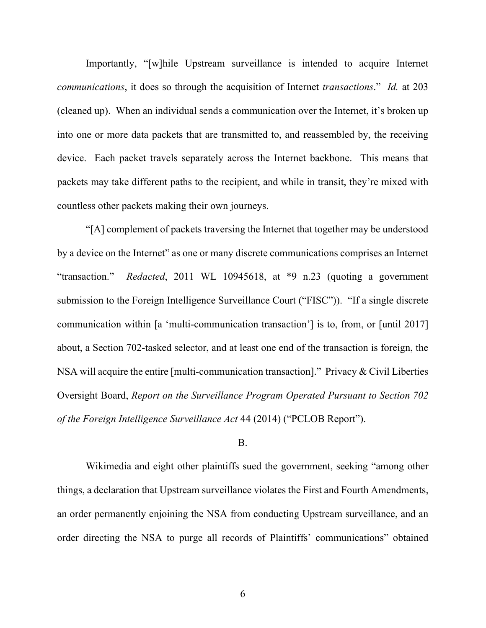Importantly, "[w]hile Upstream surveillance is intended to acquire Internet *communications*, it does so through the acquisition of Internet *transactions*." *Id.* at 203 (cleaned up). When an individual sends a communication over the Internet, it's broken up into one or more data packets that are transmitted to, and reassembled by, the receiving device. Each packet travels separately across the Internet backbone. This means that packets may take different paths to the recipient, and while in transit, they're mixed with countless other packets making their own journeys.

"[A] complement of packets traversing the Internet that together may be understood by a device on the Internet" as one or many discrete communications comprises an Internet "transaction." *Redacted*, 2011 WL 10945618, at \*9 n.23 (quoting a government submission to the Foreign Intelligence Surveillance Court ("FISC")). "If a single discrete communication within [a 'multi-communication transaction'] is to, from, or [until 2017] about, a Section 702-tasked selector, and at least one end of the transaction is foreign, the NSA will acquire the entire [multi-communication transaction]." Privacy & Civil Liberties Oversight Board, *Report on the Surveillance Program Operated Pursuant to Section 702 of the Foreign Intelligence Surveillance Act* 44 (2014) ("PCLOB Report").

#### B.

Wikimedia and eight other plaintiffs sued the government, seeking "among other things, a declaration that Upstream surveillance violates the First and Fourth Amendments, an order permanently enjoining the NSA from conducting Upstream surveillance, and an order directing the NSA to purge all records of Plaintiffs' communications" obtained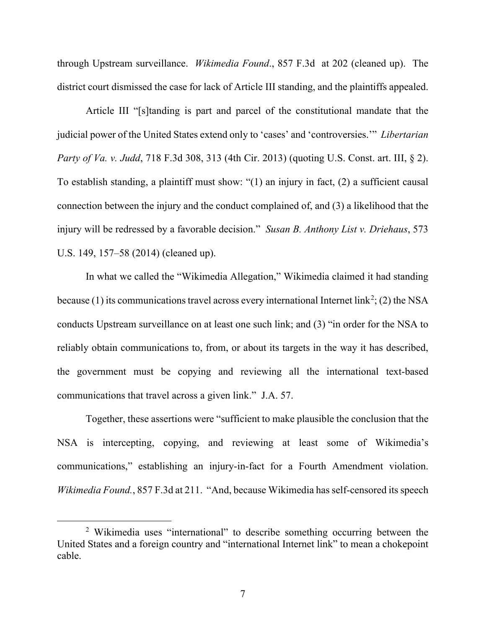through Upstream surveillance. *Wikimedia Found*., 857 F.3d at 202 (cleaned up). The district court dismissed the case for lack of Article III standing, and the plaintiffs appealed.

Article III "[s]tanding is part and parcel of the constitutional mandate that the judicial power of the United States extend only to 'cases' and 'controversies.'" *Libertarian Party of Va. v. Judd*, 718 F.3d 308, 313 (4th Cir. 2013) (quoting U.S. Const. art. III, § 2). To establish standing, a plaintiff must show: "(1) an injury in fact, (2) a sufficient causal connection between the injury and the conduct complained of, and (3) a likelihood that the injury will be redressed by a favorable decision." *Susan B. Anthony List v. Driehaus*, 573 U.S. 149, 157–58 (2014) (cleaned up).

In what we called the "Wikimedia Allegation," Wikimedia claimed it had standing because (1) its communications travel across every international Internet link<sup>[2](#page-6-0)</sup>; (2) the NSA conducts Upstream surveillance on at least one such link; and (3) "in order for the NSA to reliably obtain communications to, from, or about its targets in the way it has described, the government must be copying and reviewing all the international text-based communications that travel across a given link." J.A. 57.

Together, these assertions were "sufficient to make plausible the conclusion that the NSA is intercepting, copying, and reviewing at least some of Wikimedia's communications," establishing an injury-in-fact for a Fourth Amendment violation. *Wikimedia Found.*, 857 F.3d at 211. "And, because Wikimedia has self-censored its speech

<span id="page-6-0"></span><sup>&</sup>lt;sup>2</sup> Wikimedia uses "international" to describe something occurring between the United States and a foreign country and "international Internet link" to mean a chokepoint cable.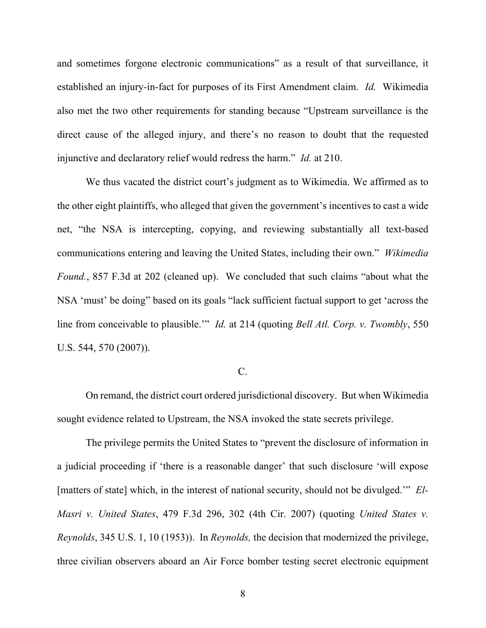and sometimes forgone electronic communications" as a result of that surveillance, it established an injury-in-fact for purposes of its First Amendment claim. *Id.* Wikimedia also met the two other requirements for standing because "Upstream surveillance is the direct cause of the alleged injury, and there's no reason to doubt that the requested injunctive and declaratory relief would redress the harm." *Id.* at 210.

We thus vacated the district court's judgment as to Wikimedia. We affirmed as to the other eight plaintiffs, who alleged that given the government's incentives to cast a wide net, "the NSA is intercepting, copying, and reviewing substantially all text-based communications entering and leaving the United States, including their own." *Wikimedia Found.*, 857 F.3d at 202 (cleaned up). We concluded that such claims "about what the NSA 'must' be doing" based on its goals "lack sufficient factual support to get 'across the line from conceivable to plausible.'" *Id.* at 214 (quoting *Bell Atl. Corp. v. Twombly*, 550 U.S. 544, 570 (2007)).

# C.

On remand, the district court ordered jurisdictional discovery. But when Wikimedia sought evidence related to Upstream, the NSA invoked the state secrets privilege.

The privilege permits the United States to "prevent the disclosure of information in a judicial proceeding if 'there is a reasonable danger' that such disclosure 'will expose [matters of state] which, in the interest of national security, should not be divulged.'" *El-Masri v. United States*, 479 F.3d 296, 302 (4th Cir. 2007) (quoting *United States v. Reynolds*, 345 U.S. 1, 10 (1953)). In *Reynolds,* the decision that modernized the privilege, three civilian observers aboard an Air Force bomber testing secret electronic equipment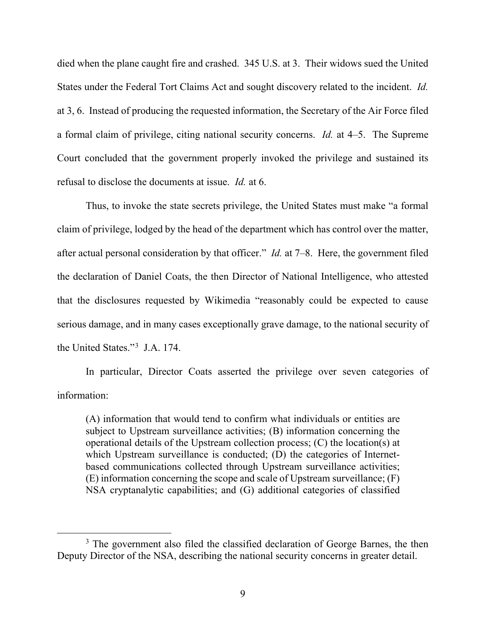died when the plane caught fire and crashed. 345 U.S. at 3. Their widows sued the United States under the Federal Tort Claims Act and sought discovery related to the incident. *Id.* at 3, 6. Instead of producing the requested information, the Secretary of the Air Force filed a formal claim of privilege, citing national security concerns. *Id.* at 4–5. The Supreme Court concluded that the government properly invoked the privilege and sustained its refusal to disclose the documents at issue. *Id.* at 6.

Thus, to invoke the state secrets privilege, the United States must make "a formal claim of privilege, lodged by the head of the department which has control over the matter, after actual personal consideration by that officer." *Id.* at 7–8. Here, the government filed the declaration of Daniel Coats, the then Director of National Intelligence, who attested that the disclosures requested by Wikimedia "reasonably could be expected to cause serious damage, and in many cases exceptionally grave damage, to the national security of the United States."[3](#page-8-0) J.A. 174.

In particular, Director Coats asserted the privilege over seven categories of information:

(A) information that would tend to confirm what individuals or entities are subject to Upstream surveillance activities; (B) information concerning the operational details of the Upstream collection process; (C) the location(s) at which Upstream surveillance is conducted; (D) the categories of Internetbased communications collected through Upstream surveillance activities; (E) information concerning the scope and scale of Upstream surveillance; (F) NSA cryptanalytic capabilities; and (G) additional categories of classified

<span id="page-8-0"></span><sup>&</sup>lt;sup>3</sup> The government also filed the classified declaration of George Barnes, the then Deputy Director of the NSA, describing the national security concerns in greater detail.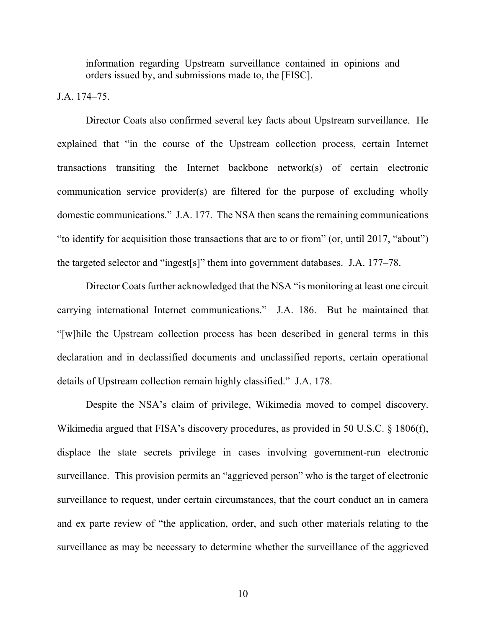information regarding Upstream surveillance contained in opinions and orders issued by, and submissions made to, the [FISC].

J.A. 174–75.

Director Coats also confirmed several key facts about Upstream surveillance. He explained that "in the course of the Upstream collection process, certain Internet transactions transiting the Internet backbone network(s) of certain electronic communication service provider(s) are filtered for the purpose of excluding wholly domestic communications." J.A. 177. The NSA then scans the remaining communications "to identify for acquisition those transactions that are to or from" (or, until 2017, "about") the targeted selector and "ingest[s]" them into government databases. J.A. 177–78.

Director Coats further acknowledged that the NSA "is monitoring at least one circuit carrying international Internet communications." J.A. 186. But he maintained that "[w]hile the Upstream collection process has been described in general terms in this declaration and in declassified documents and unclassified reports, certain operational details of Upstream collection remain highly classified." J.A. 178.

Despite the NSA's claim of privilege, Wikimedia moved to compel discovery. Wikimedia argued that FISA's discovery procedures, as provided in 50 U.S.C. § 1806(f), displace the state secrets privilege in cases involving government-run electronic surveillance. This provision permits an "aggrieved person" who is the target of electronic surveillance to request, under certain circumstances, that the court conduct an in camera and ex parte review of "the application, order, and such other materials relating to the surveillance as may be necessary to determine whether the surveillance of the aggrieved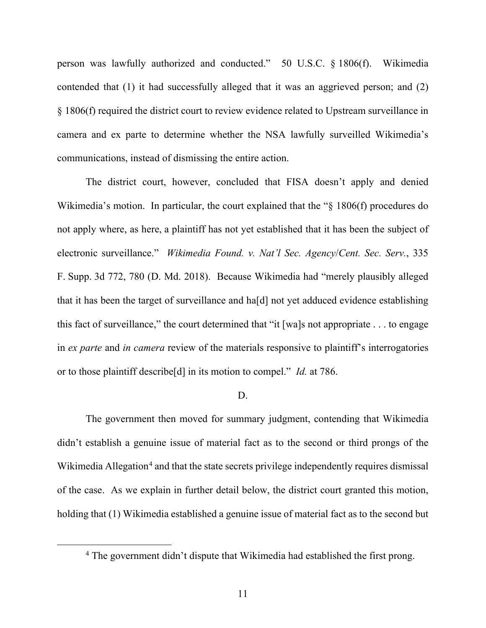person was lawfully authorized and conducted."50 U.S.C. § 1806(f).Wikimedia contended that (1) it had successfully alleged that it was an aggrieved person; and (2) § 1806(f) required the district court to review evidence related to Upstream surveillance in camera and ex parte to determine whether the NSA lawfully surveilled Wikimedia's communications, instead of dismissing the entire action.

The district court, however, concluded that FISA doesn't apply and denied Wikimedia's motion. In particular, the court explained that the "§ 1806(f) procedures do not apply where, as here, a plaintiff has not yet established that it has been the subject of electronic surveillance." *Wikimedia Found. v. Nat'l Sec. Agency*/*Cent. Sec. Serv.*, 335 F. Supp. 3d 772, 780 (D. Md. 2018). Because Wikimedia had "merely plausibly alleged that it has been the target of surveillance and ha[d] not yet adduced evidence establishing this fact of surveillance," the court determined that "it [wa]s not appropriate  $\dots$  to engage in *ex parte* and *in camera* review of the materials responsive to plaintiff's interrogatories or to those plaintiff describe[d] in its motion to compel." *Id.* at 786.

#### D.

The government then moved for summary judgment, contending that Wikimedia didn't establish a genuine issue of material fact as to the second or third prongs of the Wikimedia Allegation<sup>[4](#page-10-0)</sup> and that the state secrets privilege independently requires dismissal of the case. As we explain in further detail below, the district court granted this motion, holding that (1) Wikimedia established a genuine issue of material fact as to the second but

<span id="page-10-0"></span><sup>&</sup>lt;sup>4</sup> The government didn't dispute that Wikimedia had established the first prong.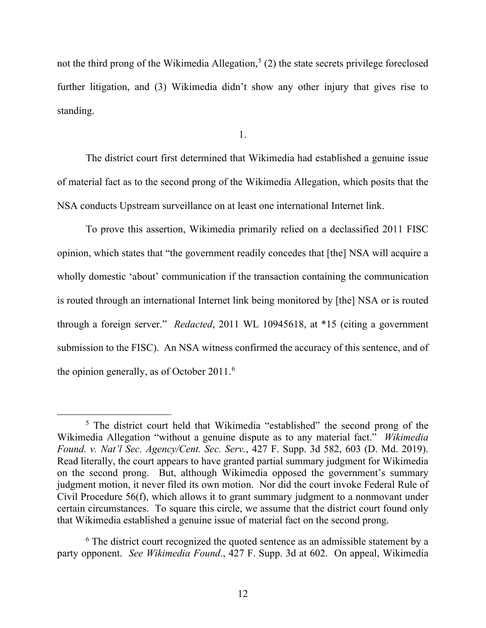not the third prong of the Wikimedia Allegation,<sup>[5](#page-11-0)</sup> (2) the state secrets privilege foreclosed further litigation, and (3) Wikimedia didn't show any other injury that gives rise to standing.

1.

The district court first determined that Wikimedia had established a genuine issue of material fact as to the second prong of the Wikimedia Allegation, which posits that the NSA conducts Upstream surveillance on at least one international Internet link.

To prove this assertion, Wikimedia primarily relied on a declassified 2011 FISC opinion, which states that "the government readily concedes that [the] NSA will acquire a wholly domestic 'about' communication if the transaction containing the communication is routed through an international Internet link being monitored by [the] NSA or is routed through a foreign server." *Redacted*, 2011 WL 10945618, at \*15 (citing a government submission to the FISC). An NSA witness confirmed the accuracy of this sentence, and of the opinion generally, as of October 2011. [6](#page-11-1)

<span id="page-11-0"></span><sup>&</sup>lt;sup>5</sup> The district court held that Wikimedia "established" the second prong of the Wikimedia Allegation "without a genuine dispute as to any material fact." *Wikimedia Found. v. Nat'l Sec. Agency/Cent. Sec. Serv.*, 427 F. Supp. 3d 582, 603 (D. Md. 2019). Read literally, the court appears to have granted partial summary judgment for Wikimedia on the second prong. But, although Wikimedia opposed the government's summary judgment motion, it never filed its own motion. Nor did the court invoke Federal Rule of Civil Procedure 56(f), which allows it to grant summary judgment to a nonmovant under certain circumstances. To square this circle, we assume that the district court found only that Wikimedia established a genuine issue of material fact on the second prong.

<span id="page-11-1"></span><sup>&</sup>lt;sup>6</sup> The district court recognized the quoted sentence as an admissible statement by a party opponent. *See Wikimedia Found*., 427 F. Supp. 3d at 602. On appeal, Wikimedia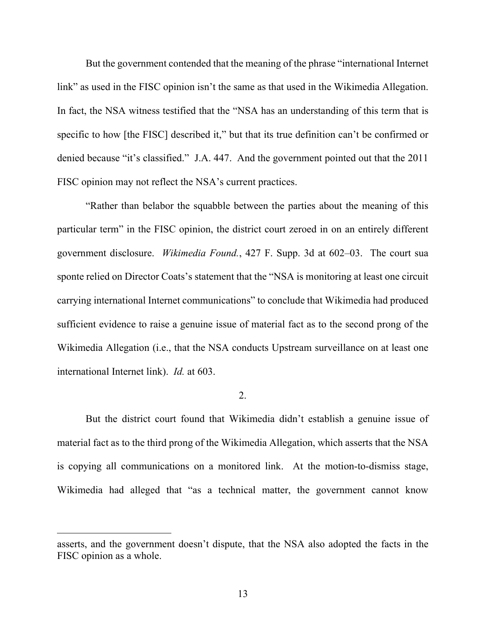But the government contended that the meaning of the phrase "international Internet link" as used in the FISC opinion isn't the same as that used in the Wikimedia Allegation. In fact, the NSA witness testified that the "NSA has an understanding of this term that is specific to how [the FISC] described it," but that its true definition can't be confirmed or denied because "it's classified." J.A. 447. And the government pointed out that the 2011 FISC opinion may not reflect the NSA's current practices.

"Rather than belabor the squabble between the parties about the meaning of this particular term" in the FISC opinion, the district court zeroed in on an entirely different government disclosure. *Wikimedia Found.*, 427 F. Supp. 3d at 602–03. The court sua sponte relied on Director Coats's statement that the "NSA is monitoring at least one circuit carrying international Internet communications" to conclude that Wikimedia had produced sufficient evidence to raise a genuine issue of material fact as to the second prong of the Wikimedia Allegation (i.e., that the NSA conducts Upstream surveillance on at least one international Internet link). *Id.* at 603.

### 2.

But the district court found that Wikimedia didn't establish a genuine issue of material fact as to the third prong of the Wikimedia Allegation, which asserts that the NSA is copying all communications on a monitored link. At the motion-to-dismiss stage, Wikimedia had alleged that "as a technical matter, the government cannot know

asserts, and the government doesn't dispute, that the NSA also adopted the facts in the FISC opinion as a whole.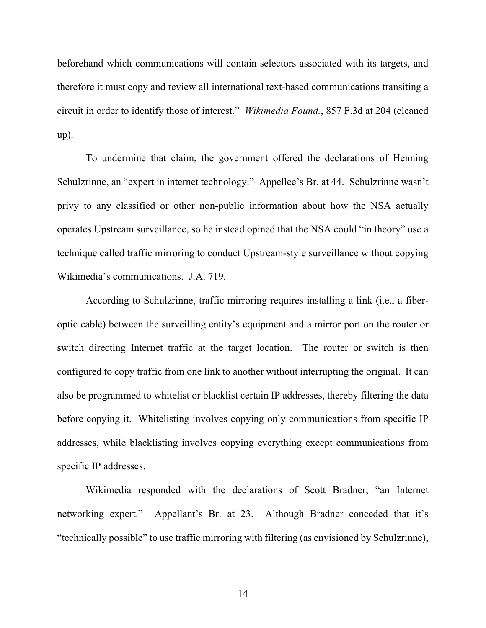beforehand which communications will contain selectors associated with its targets, and therefore it must copy and review all international text-based communications transiting a circuit in order to identify those of interest." *Wikimedia Found.*, 857 F.3d at 204 (cleaned up).

To undermine that claim, the government offered the declarations of Henning Schulzrinne, an "expert in internet technology." Appellee's Br. at 44. Schulzrinne wasn't privy to any classified or other non-public information about how the NSA actually operates Upstream surveillance, so he instead opined that the NSA could "in theory" use a technique called traffic mirroring to conduct Upstream-style surveillance without copying Wikimedia's communications. J.A. 719.

According to Schulzrinne, traffic mirroring requires installing a link (i.e., a fiberoptic cable) between the surveilling entity's equipment and a mirror port on the router or switch directing Internet traffic at the target location. The router or switch is then configured to copy traffic from one link to another without interrupting the original. It can also be programmed to whitelist or blacklist certain IP addresses, thereby filtering the data before copying it. Whitelisting involves copying only communications from specific IP addresses, while blacklisting involves copying everything except communications from specific IP addresses.

Wikimedia responded with the declarations of Scott Bradner, "an Internet networking expert." Appellant's Br. at 23. Although Bradner conceded that it's "technically possible" to use traffic mirroring with filtering (as envisioned by Schulzrinne),

14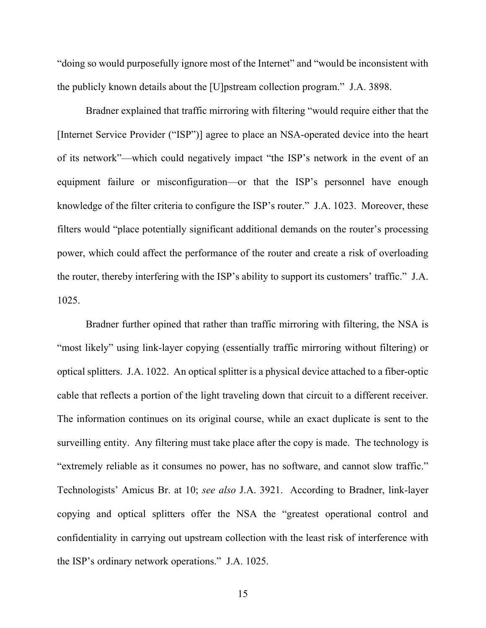"doing so would purposefully ignore most of the Internet" and "would be inconsistent with the publicly known details about the [U]pstream collection program." J.A. 3898.

Bradner explained that traffic mirroring with filtering "would require either that the [Internet Service Provider ("ISP")] agree to place an NSA-operated device into the heart of its network"—which could negatively impact "the ISP's network in the event of an equipment failure or misconfiguration—or that the ISP's personnel have enough knowledge of the filter criteria to configure the ISP's router." J.A. 1023. Moreover, these filters would "place potentially significant additional demands on the router's processing power, which could affect the performance of the router and create a risk of overloading the router, thereby interfering with the ISP's ability to support its customers' traffic." J.A. 1025.

Bradner further opined that rather than traffic mirroring with filtering, the NSA is "most likely" using link-layer copying (essentially traffic mirroring without filtering) or optical splitters. J.A. 1022. An optical splitter is a physical device attached to a fiber-optic cable that reflects a portion of the light traveling down that circuit to a different receiver. The information continues on its original course, while an exact duplicate is sent to the surveilling entity. Any filtering must take place after the copy is made. The technology is "extremely reliable as it consumes no power, has no software, and cannot slow traffic." Technologists' Amicus Br. at 10; *see also* J.A. 3921. According to Bradner, link-layer copying and optical splitters offer the NSA the "greatest operational control and confidentiality in carrying out upstream collection with the least risk of interference with the ISP's ordinary network operations." J.A. 1025.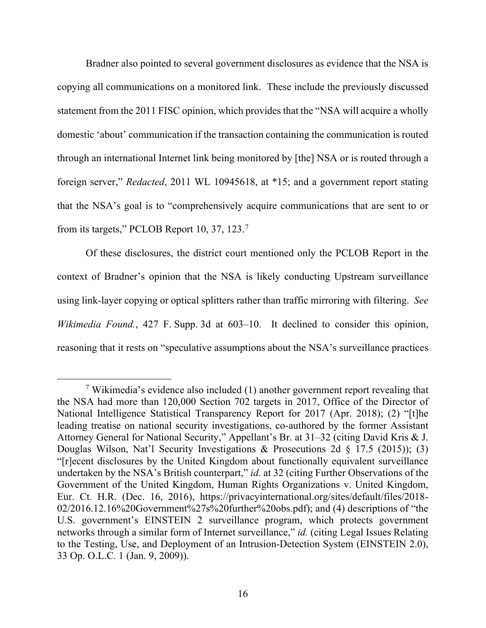Bradner also pointed to several government disclosures as evidence that the NSA is copying all communications on a monitored link. These include the previously discussed statement from the 2011 FISC opinion, which provides that the "NSA will acquire a wholly domestic 'about' communication if the transaction containing the communication is routed through an international Internet link being monitored by [the] NSA or is routed through a foreign server," *Redacted*, 2011 WL 10945618, at \*15; and a government report stating that the NSA's goal is to "comprehensively acquire communications that are sent to or from its targets," PCLOB Report 10, 37, 123.[7](#page-15-0)

Of these disclosures, the district court mentioned only the PCLOB Report in the context of Bradner's opinion that the NSA is likely conducting Upstream surveillance using link-layer copying or optical splitters rather than traffic mirroring with filtering. *See Wikimedia Found.*, 427 F. Supp. 3d at 603–10. It declined to consider this opinion, reasoning that it rests on "speculative assumptions about the NSA's surveillance practices

<span id="page-15-0"></span><sup>&</sup>lt;sup>7</sup> Wikimedia's evidence also included (1) another government report revealing that the NSA had more than 120,000 Section 702 targets in 2017, Office of the Director of National Intelligence Statistical Transparency Report for 2017 (Apr. 2018); (2) "[t]he leading treatise on national security investigations, co-authored by the former Assistant Attorney General for National Security," Appellant's Br. at 31–32 (citing David Kris & J. Douglas Wilson, Nat'l Security Investigations & Prosecutions 2d § 17.5 (2015)); (3) "[r]ecent disclosures by the United Kingdom about functionally equivalent surveillance undertaken by the NSA's British counterpart," *id.* at 32 (citing Further Observations of the Government of the United Kingdom, Human Rights Organizations v. United Kingdom, Eur. Ct. H.R. (Dec. 16, 2016), https://privacyinternational.org/sites/default/files/2018- 02/2016.12.16%20Government%27s%20further%20obs.pdf); and (4) descriptions of "the U.S. government's EINSTEIN 2 surveillance program, which protects government networks through a similar form of Internet surveillance," *id.* (citing Legal Issues Relating to the Testing, Use, and Deployment of an Intrusion-Detection System (EINSTEIN 2.0), 33 Op. O.L.C. 1 (Jan. 9, 2009)).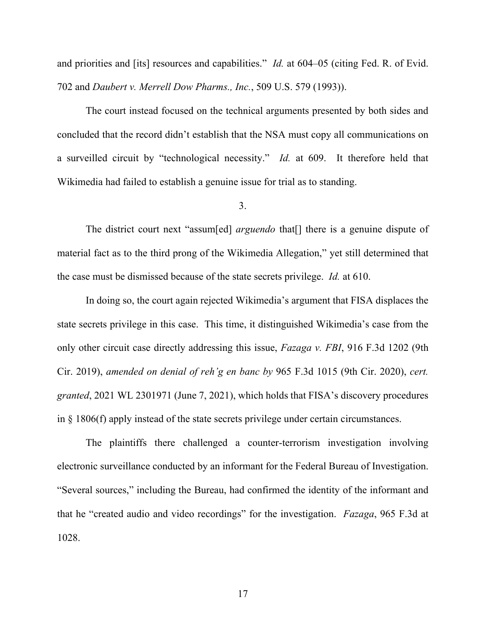and priorities and [its] resources and capabilities." *Id.* at 604–05 (citing Fed. R. of Evid. 702 and *Daubert v. Merrell Dow Pharms., Inc.*, 509 U.S. 579 (1993)).

The court instead focused on the technical arguments presented by both sides and concluded that the record didn't establish that the NSA must copy all communications on a surveilled circuit by "technological necessity." *Id.* at 609. It therefore held that Wikimedia had failed to establish a genuine issue for trial as to standing.

# 3.

The district court next "assum[ed] *arguendo* that[] there is a genuine dispute of material fact as to the third prong of the Wikimedia Allegation," yet still determined that the case must be dismissed because of the state secrets privilege. *Id.* at 610.

In doing so, the court again rejected Wikimedia's argument that FISA displaces the state secrets privilege in this case. This time, it distinguished Wikimedia's case from the only other circuit case directly addressing this issue, *Fazaga v. FBI*, 916 F.3d 1202 (9th Cir. 2019), *amended on denial of reh'g en banc by* 965 F.3d 1015 (9th Cir. 2020), *cert. granted*, 2021 WL 2301971 (June 7, 2021), which holds that FISA's discovery procedures in § 1806(f) apply instead of the state secrets privilege under certain circumstances.

The plaintiffs there challenged a counter-terrorism investigation involving electronic surveillance conducted by an informant for the Federal Bureau of Investigation. "Several sources," including the Bureau, had confirmed the identity of the informant and that he "created audio and video recordings" for the investigation. *Fazaga*, 965 F.3d at 1028.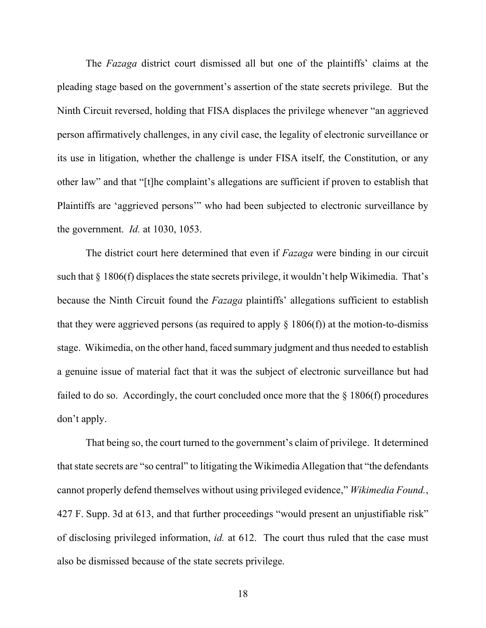The *Fazaga* district court dismissed all but one of the plaintiffs' claims at the pleading stage based on the government's assertion of the state secrets privilege. But the Ninth Circuit reversed, holding that FISA displaces the privilege whenever "an aggrieved person affirmatively challenges, in any civil case, the legality of electronic surveillance or its use in litigation, whether the challenge is under FISA itself, the Constitution, or any other law" and that "[t]he complaint's allegations are sufficient if proven to establish that Plaintiffs are 'aggrieved persons'" who had been subjected to electronic surveillance by the government. *Id.* at 1030, 1053.

The district court here determined that even if *Fazaga* were binding in our circuit such that § 1806(f) displaces the state secrets privilege, it wouldn't help Wikimedia. That's because the Ninth Circuit found the *Fazaga* plaintiffs' allegations sufficient to establish that they were aggrieved persons (as required to apply  $\S$  1806(f)) at the motion-to-dismiss stage. Wikimedia, on the other hand, faced summary judgment and thus needed to establish a genuine issue of material fact that it was the subject of electronic surveillance but had failed to do so. Accordingly, the court concluded once more that the  $\S$  1806(f) procedures don't apply.

That being so, the court turned to the government's claim of privilege. It determined that state secrets are "so central" to litigating the Wikimedia Allegation that "the defendants cannot properly defend themselves without using privileged evidence," *Wikimedia Found.*, 427 F. Supp. 3d at 613, and that further proceedings "would present an unjustifiable risk" of disclosing privileged information, *id.* at 612. The court thus ruled that the case must also be dismissed because of the state secrets privilege.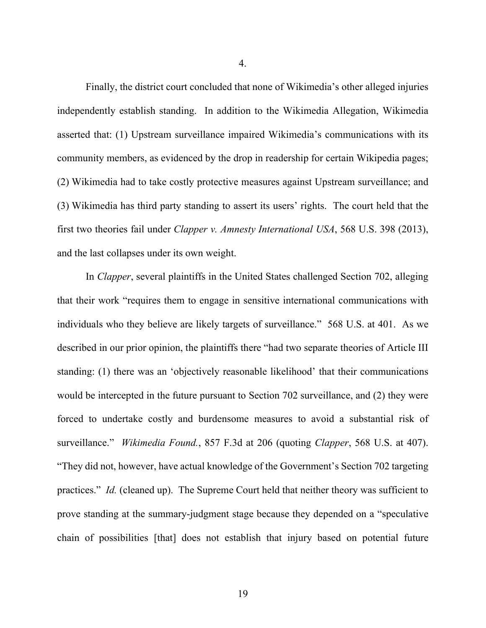4.

Finally, the district court concluded that none of Wikimedia's other alleged injuries independently establish standing. In addition to the Wikimedia Allegation, Wikimedia asserted that: (1) Upstream surveillance impaired Wikimedia's communications with its community members, as evidenced by the drop in readership for certain Wikipedia pages; (2) Wikimedia had to take costly protective measures against Upstream surveillance; and (3) Wikimedia has third party standing to assert its users' rights. The court held that the first two theories fail under *Clapper v. Amnesty International USA*, 568 U.S. 398 (2013), and the last collapses under its own weight.

In *Clapper*, several plaintiffs in the United States challenged Section 702, alleging that their work "requires them to engage in sensitive international communications with individuals who they believe are likely targets of surveillance." 568 U.S. at 401. As we described in our prior opinion, the plaintiffs there "had two separate theories of Article III standing: (1) there was an 'objectively reasonable likelihood' that their communications would be intercepted in the future pursuant to Section 702 surveillance, and (2) they were forced to undertake costly and burdensome measures to avoid a substantial risk of surveillance." *Wikimedia Found.*, 857 F.3d at 206 (quoting *Clapper*, 568 U.S. at 407). "They did not, however, have actual knowledge of the Government's Section 702 targeting practices." *Id.* (cleaned up). The Supreme Court held that neither theory was sufficient to prove standing at the summary-judgment stage because they depended on a "speculative chain of possibilities [that] does not establish that injury based on potential future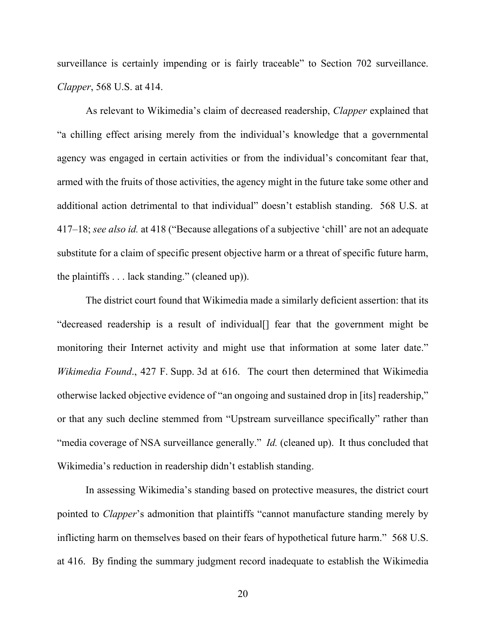surveillance is certainly impending or is fairly traceable" to Section 702 surveillance. *Clapper*, 568 U.S. at 414.

As relevant to Wikimedia's claim of decreased readership, *Clapper* explained that "a chilling effect arising merely from the individual's knowledge that a governmental agency was engaged in certain activities or from the individual's concomitant fear that, armed with the fruits of those activities, the agency might in the future take some other and additional action detrimental to that individual" doesn't establish standing. 568 U.S. at 417–18; *see also id.* at 418 ("Because allegations of a subjective 'chill' are not an adequate substitute for a claim of specific present objective harm or a threat of specific future harm, the plaintiffs . . . lack standing." (cleaned up)).

The district court found that Wikimedia made a similarly deficient assertion: that its "decreased readership is a result of individual[] fear that the government might be monitoring their Internet activity and might use that information at some later date." *Wikimedia Found*., 427 F. Supp. 3d at 616. The court then determined that Wikimedia otherwise lacked objective evidence of "an ongoing and sustained drop in [its] readership," or that any such decline stemmed from "Upstream surveillance specifically" rather than "media coverage of NSA surveillance generally." *Id.* (cleaned up). It thus concluded that Wikimedia's reduction in readership didn't establish standing.

In assessing Wikimedia's standing based on protective measures, the district court pointed to *Clapper*'s admonition that plaintiffs "cannot manufacture standing merely by inflicting harm on themselves based on their fears of hypothetical future harm." 568 U.S. at 416. By finding the summary judgment record inadequate to establish the Wikimedia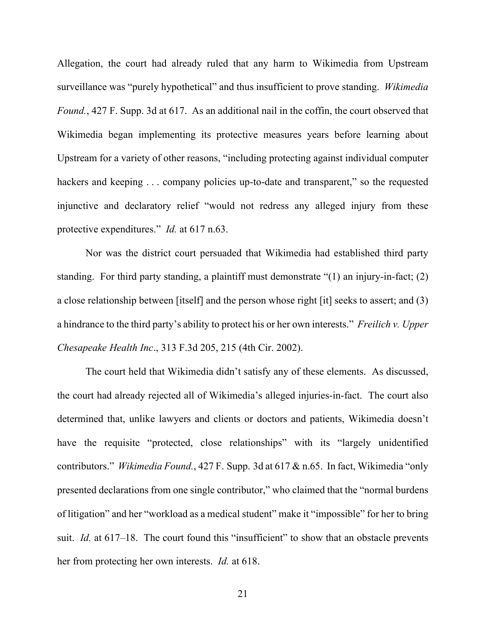Allegation, the court had already ruled that any harm to Wikimedia from Upstream surveillance was "purely hypothetical" and thus insufficient to prove standing. *Wikimedia Found.*, 427 F. Supp. 3d at 617. As an additional nail in the coffin, the court observed that Wikimedia began implementing its protective measures years before learning about Upstream for a variety of other reasons, "including protecting against individual computer hackers and keeping . . . company policies up-to-date and transparent," so the requested injunctive and declaratory relief "would not redress any alleged injury from these protective expenditures." *Id.* at 617 n.63.

Nor was the district court persuaded that Wikimedia had established third party standing. For third party standing, a plaintiff must demonstrate "(1) an injury-in-fact; (2) a close relationship between [itself] and the person whose right [it] seeks to assert; and (3) a hindrance to the third party's ability to protect his or her own interests." *Freilich v. Upper Chesapeake Health Inc*., 313 F.3d 205, 215 (4th Cir. 2002).

The court held that Wikimedia didn't satisfy any of these elements. As discussed, the court had already rejected all of Wikimedia's alleged injuries-in-fact. The court also determined that, unlike lawyers and clients or doctors and patients, Wikimedia doesn't have the requisite "protected, close relationships" with its "largely unidentified contributors." *Wikimedia Found.*, 427 F. Supp. 3d at 617 & n.65. In fact, Wikimedia "only presented declarations from one single contributor," who claimed that the "normal burdens of litigation" and her "workload as a medical student" make it "impossible" for her to bring suit. *Id.* at 617–18. The court found this "insufficient" to show that an obstacle prevents her from protecting her own interests. *Id.* at 618.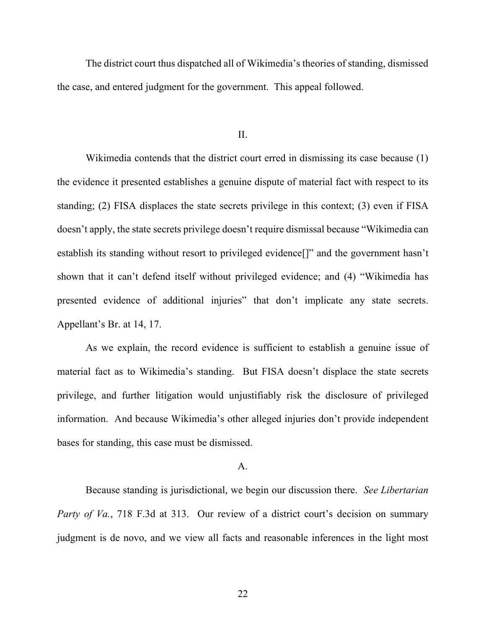The district court thus dispatched all of Wikimedia's theories of standing, dismissed the case, and entered judgment for the government. This appeal followed.

II.

Wikimedia contends that the district court erred in dismissing its case because (1) the evidence it presented establishes a genuine dispute of material fact with respect to its standing; (2) FISA displaces the state secrets privilege in this context; (3) even if FISA doesn't apply, the state secrets privilege doesn't require dismissal because "Wikimedia can establish its standing without resort to privileged evidence[]" and the government hasn't shown that it can't defend itself without privileged evidence; and (4) "Wikimedia has presented evidence of additional injuries" that don't implicate any state secrets. Appellant's Br. at 14, 17.

As we explain, the record evidence is sufficient to establish a genuine issue of material fact as to Wikimedia's standing. But FISA doesn't displace the state secrets privilege, and further litigation would unjustifiably risk the disclosure of privileged information. And because Wikimedia's other alleged injuries don't provide independent bases for standing, this case must be dismissed.

# A.

Because standing is jurisdictional, we begin our discussion there. *See Libertarian Party of Va.*, 718 F.3d at 313. Our review of a district court's decision on summary judgment is de novo, and we view all facts and reasonable inferences in the light most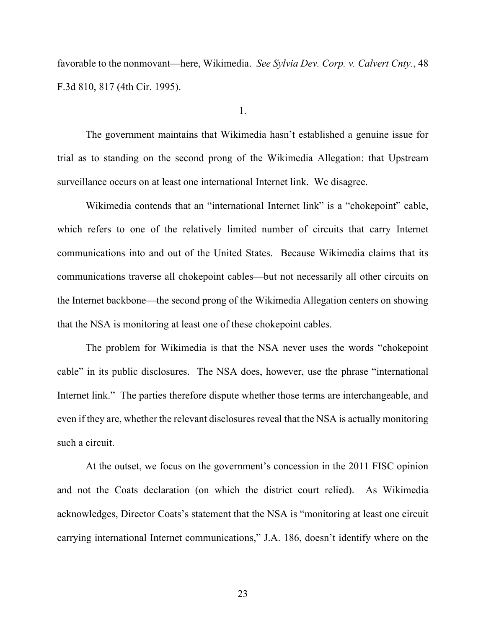favorable to the nonmovant—here, Wikimedia. *See Sylvia Dev. Corp. v. Calvert Cnty.*, 48 F.3d 810, 817 (4th Cir. 1995).

1.

The government maintains that Wikimedia hasn't established a genuine issue for trial as to standing on the second prong of the Wikimedia Allegation: that Upstream surveillance occurs on at least one international Internet link. We disagree.

Wikimedia contends that an "international Internet link" is a "chokepoint" cable, which refers to one of the relatively limited number of circuits that carry Internet communications into and out of the United States. Because Wikimedia claims that its communications traverse all chokepoint cables—but not necessarily all other circuits on the Internet backbone—the second prong of the Wikimedia Allegation centers on showing that the NSA is monitoring at least one of these chokepoint cables.

The problem for Wikimedia is that the NSA never uses the words "chokepoint cable" in its public disclosures. The NSA does, however, use the phrase "international Internet link." The parties therefore dispute whether those terms are interchangeable, and even if they are, whether the relevant disclosures reveal that the NSA is actually monitoring such a circuit.

At the outset, we focus on the government's concession in the 2011 FISC opinion and not the Coats declaration (on which the district court relied). As Wikimedia acknowledges, Director Coats's statement that the NSA is "monitoring at least one circuit carrying international Internet communications," J.A. 186, doesn't identify where on the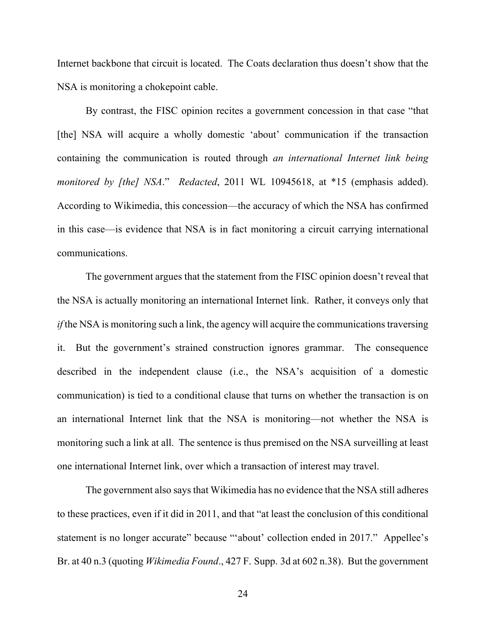Internet backbone that circuit is located. The Coats declaration thus doesn't show that the NSA is monitoring a chokepoint cable.

By contrast, the FISC opinion recites a government concession in that case "that [the] NSA will acquire a wholly domestic 'about' communication if the transaction containing the communication is routed through *an international Internet link being monitored by [the] NSA*." *Redacted*, 2011 WL 10945618, at \*15 (emphasis added). According to Wikimedia, this concession—the accuracy of which the NSA has confirmed in this case—is evidence that NSA is in fact monitoring a circuit carrying international communications.

The government argues that the statement from the FISC opinion doesn't reveal that the NSA is actually monitoring an international Internet link. Rather, it conveys only that *if* the NSA is monitoring such a link, the agency will acquire the communications traversing it. But the government's strained construction ignores grammar. The consequence described in the independent clause (i.e., the NSA's acquisition of a domestic communication) is tied to a conditional clause that turns on whether the transaction is on an international Internet link that the NSA is monitoring—not whether the NSA is monitoring such a link at all. The sentence is thus premised on the NSA surveilling at least one international Internet link, over which a transaction of interest may travel.

The government also says that Wikimedia has no evidence that the NSA still adheres to these practices, even if it did in 2011, and that "at least the conclusion of this conditional statement is no longer accurate" because "'about' collection ended in 2017." Appellee's Br. at 40 n.3 (quoting *Wikimedia Found*., 427 F. Supp. 3d at 602 n.38). But the government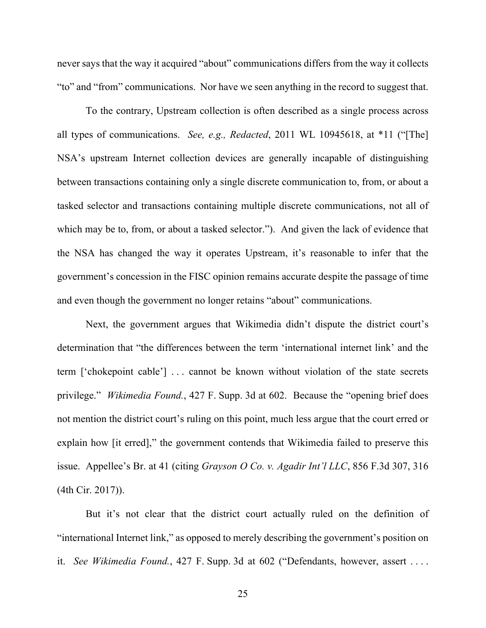never says that the way it acquired "about" communications differs from the way it collects "to" and "from" communications. Nor have we seen anything in the record to suggest that.

To the contrary, Upstream collection is often described as a single process across all types of communications. *See, e.g., Redacted*, 2011 WL 10945618, at \*11 ("[The] NSA's upstream Internet collection devices are generally incapable of distinguishing between transactions containing only a single discrete communication to, from, or about a tasked selector and transactions containing multiple discrete communications, not all of which may be to, from, or about a tasked selector."). And given the lack of evidence that the NSA has changed the way it operates Upstream, it's reasonable to infer that the government's concession in the FISC opinion remains accurate despite the passage of time and even though the government no longer retains "about" communications.

Next, the government argues that Wikimedia didn't dispute the district court's determination that "the differences between the term 'international internet link' and the term ['chokepoint cable'] . . . cannot be known without violation of the state secrets privilege." *Wikimedia Found.*, 427 F. Supp. 3d at 602.Because the "opening brief does not mention the district court's ruling on this point, much less argue that the court erred or explain how [it erred]," the government contends that Wikimedia failed to preserve this issue. Appellee's Br. at 41 (citing *Grayson O Co. v. Agadir Int'l LLC*, 856 F.3d 307, 316 (4th Cir. 2017)).

But it's not clear that the district court actually ruled on the definition of "international Internet link," as opposed to merely describing the government's position on it. *See Wikimedia Found.*, 427 F. Supp. 3d at 602 ("Defendants, however, assert . . . .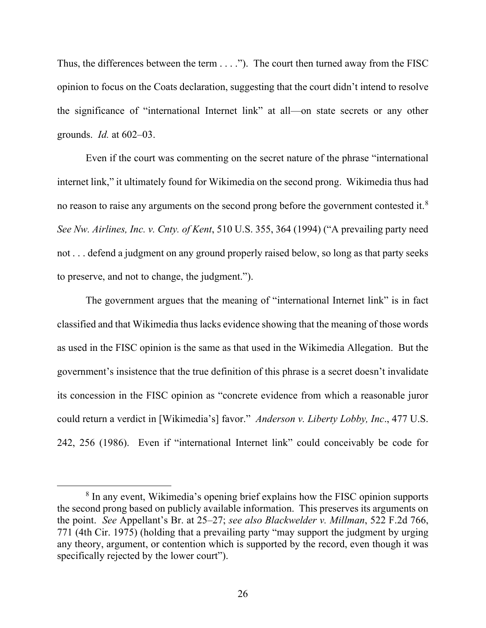Thus, the differences between the term  $\dots$ ."). The court then turned away from the FISC opinion to focus on the Coats declaration, suggesting that the court didn't intend to resolve the significance of "international Internet link" at all—on state secrets or any other grounds. *Id.* at 602–03.

Even if the court was commenting on the secret nature of the phrase "international internet link," it ultimately found for Wikimedia on the second prong. Wikimedia thus had no reason to raise any arguments on the second prong before the government contested it. $8$ *See Nw. Airlines, Inc. v. Cnty. of Kent*, 510 U.S. 355, 364 (1994) ("A prevailing party need not . . . defend a judgment on any ground properly raised below, so long as that party seeks to preserve, and not to change, the judgment.").

The government argues that the meaning of "international Internet link" is in fact classified and that Wikimedia thus lacks evidence showing that the meaning of those words as used in the FISC opinion is the same as that used in the Wikimedia Allegation. But the government's insistence that the true definition of this phrase is a secret doesn't invalidate its concession in the FISC opinion as "concrete evidence from which a reasonable juror could return a verdict in [Wikimedia's] favor." *Anderson v. Liberty Lobby, Inc*., 477 U.S. 242, 256 (1986). Even if "international Internet link" could conceivably be code for

<span id="page-25-0"></span><sup>&</sup>lt;sup>8</sup> In any event, Wikimedia's opening brief explains how the FISC opinion supports the second prong based on publicly available information. This preserves its arguments on the point. *See* Appellant's Br. at 25–27; *see also Blackwelder v. Millman*, 522 F.2d 766, 771 (4th Cir. 1975) (holding that a prevailing party "may support the judgment by urging any theory, argument, or contention which is supported by the record, even though it was specifically rejected by the lower court").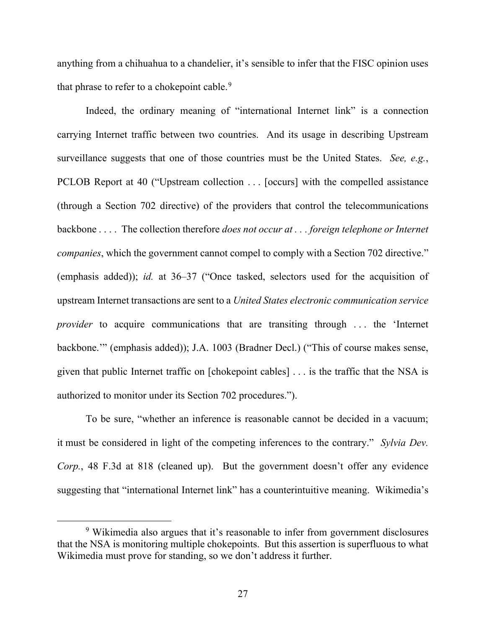anything from a chihuahua to a chandelier, it's sensible to infer that the FISC opinion uses that phrase to refer to a chokepoint cable.<sup>[9](#page-26-0)</sup>

Indeed, the ordinary meaning of "international Internet link" is a connection carrying Internet traffic between two countries. And its usage in describing Upstream surveillance suggests that one of those countries must be the United States. *See, e.g.*, PCLOB Report at 40 ("Upstream collection . . . [occurs] with the compelled assistance (through a Section 702 directive) of the providers that control the telecommunications backbone . . . . The collection therefore *does not occur at . . . foreign telephone or Internet companies*, which the government cannot compel to comply with a Section 702 directive." (emphasis added)); *id.* at 36–37 ("Once tasked, selectors used for the acquisition of upstream Internet transactions are sent to a *United States electronic communication service provider* to acquire communications that are transiting through ... the 'Internet backbone.'" (emphasis added)); J.A. 1003 (Bradner Decl.) ("This of course makes sense, given that public Internet traffic on [chokepoint cables] . . . is the traffic that the NSA is authorized to monitor under its Section 702 procedures.").

To be sure, "whether an inference is reasonable cannot be decided in a vacuum; it must be considered in light of the competing inferences to the contrary." *Sylvia Dev. Corp.*, 48 F.3d at 818 (cleaned up). But the government doesn't offer any evidence suggesting that "international Internet link" has a counterintuitive meaning. Wikimedia's

<span id="page-26-0"></span><sup>&</sup>lt;sup>9</sup> Wikimedia also argues that it's reasonable to infer from government disclosures that the NSA is monitoring multiple chokepoints. But this assertion is superfluous to what Wikimedia must prove for standing, so we don't address it further.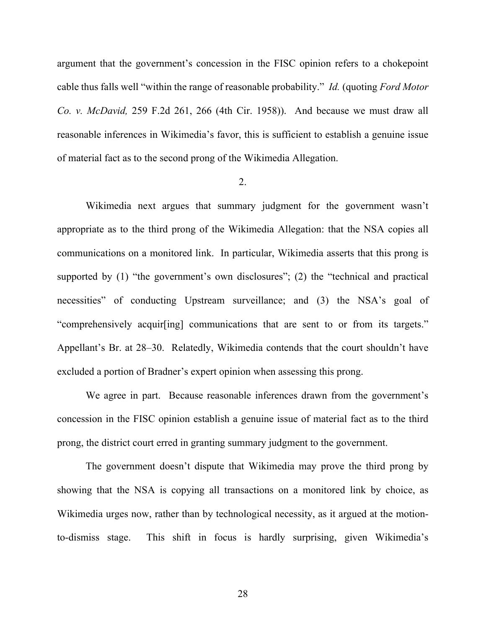argument that the government's concession in the FISC opinion refers to a chokepoint cable thus falls well "within the range of reasonable probability." *Id.* (quoting *Ford Motor Co. v. McDavid,* 259 F.2d 261, 266 (4th Cir. 1958)). And because we must draw all reasonable inferences in Wikimedia's favor, this is sufficient to establish a genuine issue of material fact as to the second prong of the Wikimedia Allegation.

#### 2.

Wikimedia next argues that summary judgment for the government wasn't appropriate as to the third prong of the Wikimedia Allegation: that the NSA copies all communications on a monitored link. In particular, Wikimedia asserts that this prong is supported by (1) "the government's own disclosures"; (2) the "technical and practical necessities" of conducting Upstream surveillance; and (3) the NSA's goal of "comprehensively acquir[ing] communications that are sent to or from its targets." Appellant's Br. at 28–30. Relatedly, Wikimedia contends that the court shouldn't have excluded a portion of Bradner's expert opinion when assessing this prong.

We agree in part. Because reasonable inferences drawn from the government's concession in the FISC opinion establish a genuine issue of material fact as to the third prong, the district court erred in granting summary judgment to the government.

The government doesn't dispute that Wikimedia may prove the third prong by showing that the NSA is copying all transactions on a monitored link by choice, as Wikimedia urges now, rather than by technological necessity, as it argued at the motionto-dismiss stage. This shift in focus is hardly surprising, given Wikimedia's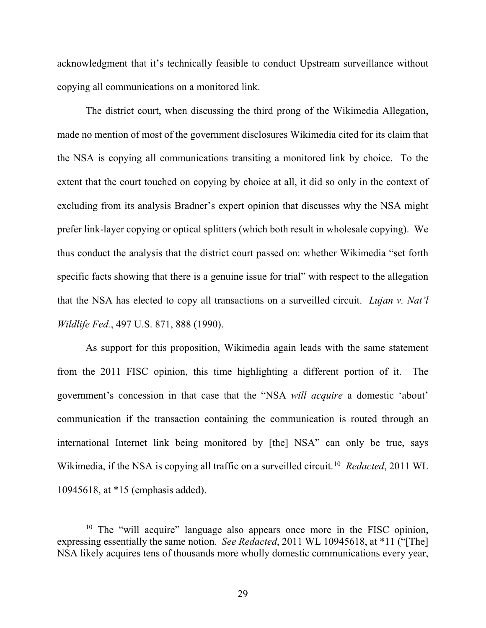acknowledgment that it's technically feasible to conduct Upstream surveillance without copying all communications on a monitored link.

The district court, when discussing the third prong of the Wikimedia Allegation, made no mention of most of the government disclosures Wikimedia cited for its claim that the NSA is copying all communications transiting a monitored link by choice. To the extent that the court touched on copying by choice at all, it did so only in the context of excluding from its analysis Bradner's expert opinion that discusses why the NSA might prefer link-layer copying or optical splitters (which both result in wholesale copying). We thus conduct the analysis that the district court passed on: whether Wikimedia "set forth specific facts showing that there is a genuine issue for trial" with respect to the allegation that the NSA has elected to copy all transactions on a surveilled circuit. *Lujan v. Nat'l Wildlife Fed.*, 497 U.S. 871, 888 (1990).

As support for this proposition, Wikimedia again leads with the same statement from the 2011 FISC opinion, this time highlighting a different portion of it. The government's concession in that case that the "NSA *will acquire* a domestic 'about' communication if the transaction containing the communication is routed through an international Internet link being monitored by [the] NSA" can only be true, says Wikimedia, if the NSA is copying all traffic on a surveilled circuit. [10](#page-28-0) *Redacted*, 2011 WL 10945618, at \*15 (emphasis added).

<span id="page-28-0"></span><sup>&</sup>lt;sup>10</sup> The "will acquire" language also appears once more in the FISC opinion, expressing essentially the same notion. *See Redacted*, 2011 WL 10945618, at \*11 ("[The] NSA likely acquires tens of thousands more wholly domestic communications every year,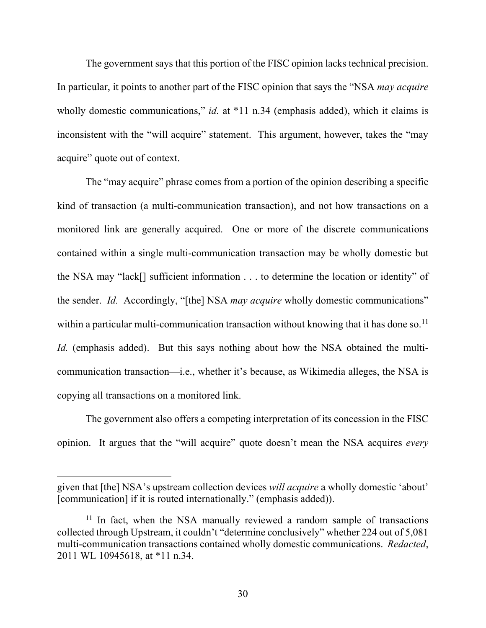The government says that this portion of the FISC opinion lacks technical precision. In particular, it points to another part of the FISC opinion that says the "NSA *may acquire* wholly domestic communications," *id.* at \*11 n.34 (emphasis added), which it claims is inconsistent with the "will acquire" statement. This argument, however, takes the "may acquire" quote out of context.

The "may acquire" phrase comes from a portion of the opinion describing a specific kind of transaction (a multi-communication transaction), and not how transactions on a monitored link are generally acquired. One or more of the discrete communications contained within a single multi-communication transaction may be wholly domestic but the NSA may "lack[] sufficient information . . . to determine the location or identity" of the sender. *Id.* Accordingly, "[the] NSA *may acquire* wholly domestic communications" within a particular multi-communication transaction without knowing that it has done so.<sup>[11](#page-29-0)</sup> *Id.* (emphasis added).But this says nothing about how the NSA obtained the multicommunication transaction—i.e., whether it's because, as Wikimedia alleges, the NSA is copying all transactions on a monitored link.

The government also offers a competing interpretation of its concession in the FISC opinion. It argues that the "will acquire" quote doesn't mean the NSA acquires *every*

given that [the] NSA's upstream collection devices *will acquire* a wholly domestic 'about' [communication] if it is routed internationally." (emphasis added)).

<span id="page-29-0"></span> $11$  In fact, when the NSA manually reviewed a random sample of transactions collected through Upstream, it couldn't "determine conclusively" whether 224 out of 5,081 multi-communication transactions contained wholly domestic communications. *Redacted*, 2011 WL 10945618, at \*11 n.34.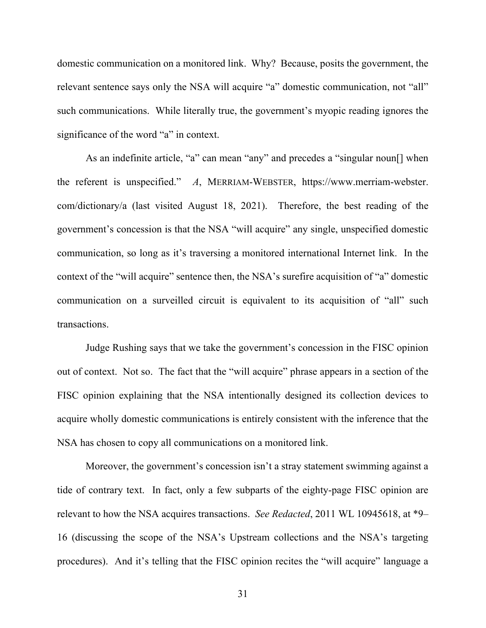domestic communication on a monitored link. Why? Because, posits the government, the relevant sentence says only the NSA will acquire "a" domestic communication, not "all" such communications. While literally true, the government's myopic reading ignores the significance of the word "a" in context.

As an indefinite article, "a" can mean "any" and precedes a "singular noun[] when the referent is unspecified." *A*, MERRIAM-WEBSTER, https://www.merriam-webster. com/dictionary/a (last visited August 18, 2021). Therefore, the best reading of the government's concession is that the NSA "will acquire" any single, unspecified domestic communication, so long as it's traversing a monitored international Internet link. In the context of the "will acquire" sentence then, the NSA's surefire acquisition of "a" domestic communication on a surveilled circuit is equivalent to its acquisition of "all" such transactions.

Judge Rushing says that we take the government's concession in the FISC opinion out of context. Not so. The fact that the "will acquire" phrase appears in a section of the FISC opinion explaining that the NSA intentionally designed its collection devices to acquire wholly domestic communications is entirely consistent with the inference that the NSA has chosen to copy all communications on a monitored link.

Moreover, the government's concession isn't a stray statement swimming against a tide of contrary text. In fact, only a few subparts of the eighty-page FISC opinion are relevant to how the NSA acquires transactions. *See Redacted*, 2011 WL 10945618, at \*9– 16 (discussing the scope of the NSA's Upstream collections and the NSA's targeting procedures). And it's telling that the FISC opinion recites the "will acquire" language a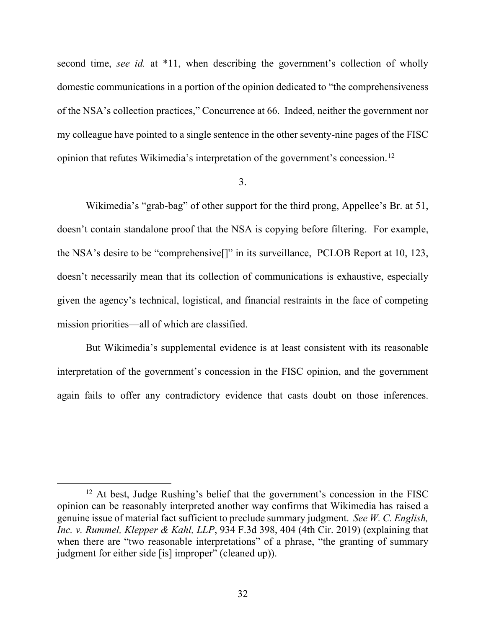second time, *see id.* at \*11, when describing the government's collection of wholly domestic communications in a portion of the opinion dedicated to "the comprehensiveness of the NSA's collection practices," Concurrence at 66. Indeed, neither the government nor my colleague have pointed to a single sentence in the other seventy-nine pages of the FISC opinion that refutes Wikimedia's interpretation of the government's concession.[12](#page-31-0)

#### 3.

Wikimedia's "grab-bag" of other support for the third prong, Appellee's Br. at 51, doesn't contain standalone proof that the NSA is copying before filtering. For example, the NSA's desire to be "comprehensive[]" in its surveillance, PCLOB Report at 10, 123, doesn't necessarily mean that its collection of communications is exhaustive, especially given the agency's technical, logistical, and financial restraints in the face of competing mission priorities—all of which are classified.

But Wikimedia's supplemental evidence is at least consistent with its reasonable interpretation of the government's concession in the FISC opinion, and the government again fails to offer any contradictory evidence that casts doubt on those inferences.

<span id="page-31-0"></span><sup>&</sup>lt;sup>12</sup> At best, Judge Rushing's belief that the government's concession in the FISC opinion can be reasonably interpreted another way confirms that Wikimedia has raised a genuine issue of material fact sufficient to preclude summary judgment. *See W. C. English, Inc. v. Rummel, Klepper & Kahl, LLP*, 934 F.3d 398, 404 (4th Cir. 2019) (explaining that when there are "two reasonable interpretations" of a phrase, "the granting of summary judgment for either side [is] improper" (cleaned up)).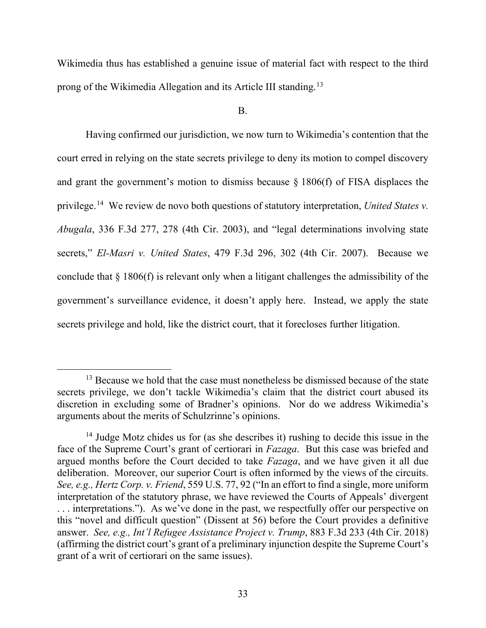Wikimedia thus has established a genuine issue of material fact with respect to the third prong of the Wikimedia Allegation and its Article III standing.<sup>[13](#page-32-0)</sup>

### B.

Having confirmed our jurisdiction, we now turn to Wikimedia's contention that the court erred in relying on the state secrets privilege to deny its motion to compel discovery and grant the government's motion to dismiss because § 1806(f) of FISA displaces the privilege. [14](#page-32-1) We review de novo both questions of statutory interpretation, *United States v. Abugala*, 336 F.3d 277, 278 (4th Cir. 2003), and "legal determinations involving state secrets," *El-Masri v. United States*, 479 F.3d 296, 302 (4th Cir. 2007). Because we conclude that § 1806(f) is relevant only when a litigant challenges the admissibility of the government's surveillance evidence, it doesn't apply here. Instead, we apply the state secrets privilege and hold, like the district court, that it forecloses further litigation.

<span id="page-32-0"></span> $13$  Because we hold that the case must nonetheless be dismissed because of the state secrets privilege, we don't tackle Wikimedia's claim that the district court abused its discretion in excluding some of Bradner's opinions. Nor do we address Wikimedia's arguments about the merits of Schulzrinne's opinions.

<span id="page-32-1"></span><sup>&</sup>lt;sup>14</sup> Judge Motz chides us for (as she describes it) rushing to decide this issue in the face of the Supreme Court's grant of certiorari in *Fazaga*. But this case was briefed and argued months before the Court decided to take *Fazaga*, and we have given it all due deliberation. Moreover, our superior Court is often informed by the views of the circuits. *See, e.g., Hertz Corp. v. Friend*, 559 U.S. 77, 92 ("In an effort to find a single, more uniform interpretation of the statutory phrase, we have reviewed the Courts of Appeals' divergent . . . interpretations."). As we've done in the past, we respectfully offer our perspective on this "novel and difficult question" (Dissent at 56) before the Court provides a definitive answer. *See, e.g., Int'l Refugee Assistance Project v. Trump*, 883 F.3d 233 (4th Cir. 2018) (affirming the district court's grant of a preliminary injunction despite the Supreme Court's grant of a writ of certiorari on the same issues).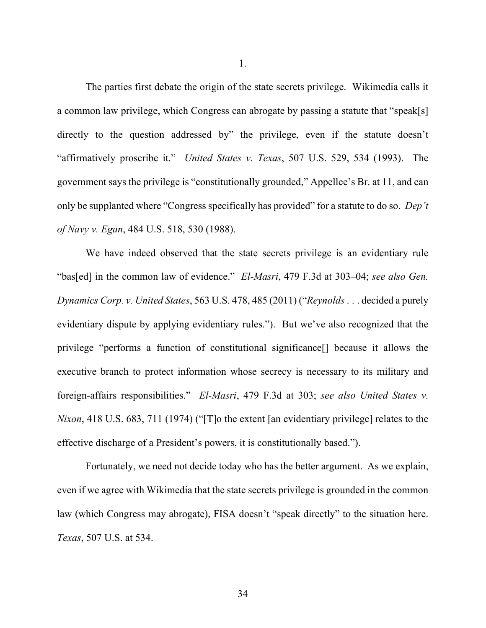The parties first debate the origin of the state secrets privilege. Wikimedia calls it a common law privilege, which Congress can abrogate by passing a statute that "speak[s] directly to the question addressed by" the privilege, even if the statute doesn't "affirmatively proscribe it." *United States v. Texas*, 507 U.S. 529, 534 (1993). The government says the privilege is "constitutionally grounded," Appellee's Br. at 11, and can only be supplanted where "Congress specifically has provided" for a statute to do so. *Dep't of Navy v. Egan*, 484 U.S. 518, 530 (1988).

We have indeed observed that the state secrets privilege is an evidentiary rule "bas[ed] in the common law of evidence." *El-Masri*, 479 F.3d at 303–04; *see also Gen. Dynamics Corp. v. United States*, 563 U.S. 478, 485 (2011) ("*Reynolds* . . . decided a purely evidentiary dispute by applying evidentiary rules."). But we've also recognized that the privilege "performs a function of constitutional significance[] because it allows the executive branch to protect information whose secrecy is necessary to its military and foreign-affairs responsibilities." *El-Masri*, 479 F.3d at 303; *see also United States v. Nixon*, 418 U.S. 683, 711 (1974) ("The the extent [an evidentiary privilege] relates to the effective discharge of a President's powers, it is constitutionally based.").

Fortunately, we need not decide today who has the better argument. As we explain, even if we agree with Wikimedia that the state secrets privilege is grounded in the common law (which Congress may abrogate), FISA doesn't "speak directly" to the situation here. *Texas*, 507 U.S. at 534.

1.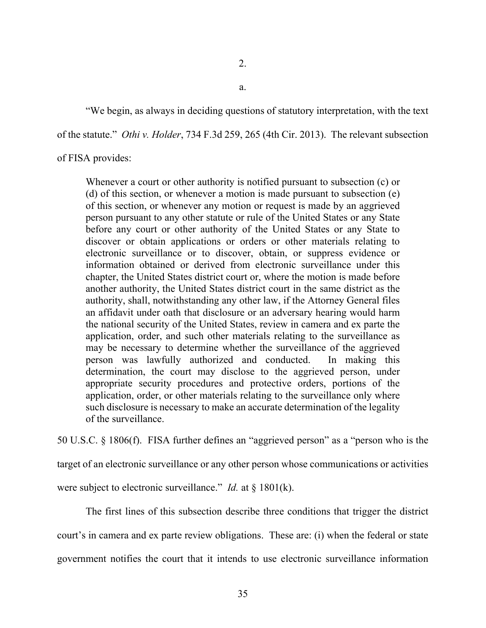"We begin, as always in deciding questions of statutory interpretation, with the text

of the statute." *Othi v. Holder*, 734 F.3d 259, 265 (4th Cir. 2013). The relevant subsection

# of FISA provides:

Whenever a court or other authority is notified pursuant to subsection (c) or (d) of this section, or whenever a motion is made pursuant to subsection (e) of this section, or whenever any motion or request is made by an aggrieved person pursuant to any other statute or rule of the United States or any State before any court or other authority of the United States or any State to discover or obtain applications or orders or other materials relating to electronic surveillance or to discover, obtain, or suppress evidence or information obtained or derived from electronic surveillance under this chapter, the United States district court or, where the motion is made before another authority, the United States district court in the same district as the authority, shall, notwithstanding any other law, if the Attorney General files an affidavit under oath that disclosure or an adversary hearing would harm the national security of the United States, review in camera and ex parte the application, order, and such other materials relating to the surveillance as may be necessary to determine whether the surveillance of the aggrieved person was lawfully authorized and conducted. In making this determination, the court may disclose to the aggrieved person, under appropriate security procedures and protective orders, portions of the application, order, or other materials relating to the surveillance only where such disclosure is necessary to make an accurate determination of the legality of the surveillance.

50 U.S.C. § 1806(f). FISA further defines an "aggrieved person" as a "person who is the

target of an electronic surveillance or any other person whose communications or activities

were subject to electronic surveillance." *Id.* at § 1801(k).

The first lines of this subsection describe three conditions that trigger the district court's in camera and ex parte review obligations. These are: (i) when the federal or state government notifies the court that it intends to use electronic surveillance information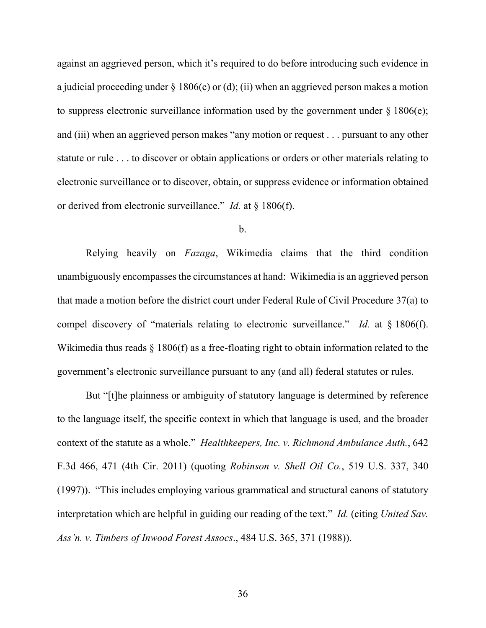against an aggrieved person, which it's required to do before introducing such evidence in a judicial proceeding under  $\S 1806(c)$  or (d); (ii) when an aggrieved person makes a motion to suppress electronic surveillance information used by the government under  $\S 1806(e)$ ; and (iii) when an aggrieved person makes "any motion or request . . . pursuant to any other statute or rule . . . to discover or obtain applications or orders or other materials relating to electronic surveillance or to discover, obtain, or suppress evidence or information obtained or derived from electronic surveillance." *Id.* at § 1806(f).

#### b.

Relying heavily on *Fazaga*, Wikimedia claims that the third condition unambiguously encompasses the circumstances at hand: Wikimedia is an aggrieved person that made a motion before the district court under Federal Rule of Civil Procedure 37(a) to compel discovery of "materials relating to electronic surveillance." *Id.* at § 1806(f). Wikimedia thus reads § 1806(f) as a free-floating right to obtain information related to the government's electronic surveillance pursuant to any (and all) federal statutes or rules.

But "[t]he plainness or ambiguity of statutory language is determined by reference to the language itself, the specific context in which that language is used, and the broader context of the statute as a whole." *Healthkeepers, Inc. v. Richmond Ambulance Auth.*, 642 F.3d 466, 471 (4th Cir. 2011) (quoting *Robinson v. Shell Oil Co.*, 519 U.S. 337, 340 (1997)). "This includes employing various grammatical and structural canons of statutory interpretation which are helpful in guiding our reading of the text." *Id.* (citing *United Sav. Ass'n. v. Timbers of Inwood Forest Assocs*., 484 U.S. 365, 371 (1988)).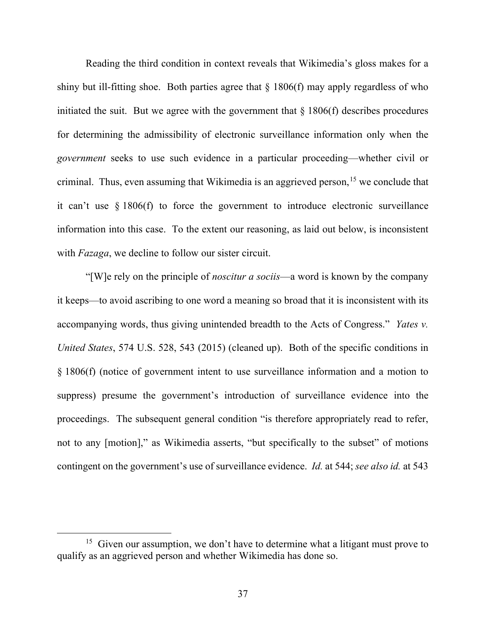Reading the third condition in context reveals that Wikimedia's gloss makes for a shiny but ill-fitting shoe. Both parties agree that  $\S 1806(f)$  may apply regardless of who initiated the suit. But we agree with the government that  $\S$  1806(f) describes procedures for determining the admissibility of electronic surveillance information only when the *government* seeks to use such evidence in a particular proceeding—whether civil or criminal. Thus, even assuming that Wikimedia is an aggrieved person,<sup>[15](#page-36-0)</sup> we conclude that it can't use § 1806(f) to force the government to introduce electronic surveillance information into this case. To the extent our reasoning, as laid out below, is inconsistent with *Fazaga*, we decline to follow our sister circuit.

"[W]e rely on the principle of *noscitur a sociis*—a word is known by the company it keeps—to avoid ascribing to one word a meaning so broad that it is inconsistent with its accompanying words, thus giving unintended breadth to the Acts of Congress." *Yates v. United States*, 574 U.S. 528, 543 (2015) (cleaned up). Both of the specific conditions in § 1806(f) (notice of government intent to use surveillance information and a motion to suppress) presume the government's introduction of surveillance evidence into the proceedings. The subsequent general condition "is therefore appropriately read to refer, not to any [motion]," as Wikimedia asserts, "but specifically to the subset" of motions contingent on the government's use of surveillance evidence. *Id.* at 544; *see also id.* at 543

<span id="page-36-0"></span><sup>&</sup>lt;sup>15</sup> Given our assumption, we don't have to determine what a litigant must prove to qualify as an aggrieved person and whether Wikimedia has done so.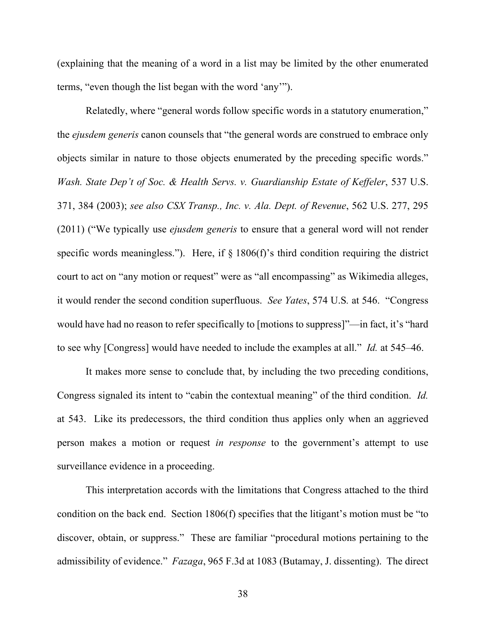(explaining that the meaning of a word in a list may be limited by the other enumerated terms, "even though the list began with the word 'any'").

Relatedly, where "general words follow specific words in a statutory enumeration," the *ejusdem generis* canon counsels that "the general words are construed to embrace only objects similar in nature to those objects enumerated by the preceding specific words." *Wash. State Dep't of Soc. & Health Servs. v. Guardianship Estate of Keffeler*, 537 U.S. 371, 384 (2003); *see also CSX Transp., Inc. v. Ala. Dept. of Revenue*, 562 U.S. 277, 295 (2011) ("We typically use *ejusdem generis* to ensure that a general word will not render specific words meaningless."). Here, if  $\S 1806(f)$ 's third condition requiring the district court to act on "any motion or request" were as "all encompassing" as Wikimedia alleges, it would render the second condition superfluous. *See Yates*, 574 U.S*.* at 546. "Congress would have had no reason to refer specifically to [motions to suppress]"—in fact, it's "hard to see why [Congress] would have needed to include the examples at all." *Id.* at 545–46.

It makes more sense to conclude that, by including the two preceding conditions, Congress signaled its intent to "cabin the contextual meaning" of the third condition. *Id.* at 543. Like its predecessors, the third condition thus applies only when an aggrieved person makes a motion or request *in response* to the government's attempt to use surveillance evidence in a proceeding.

This interpretation accords with the limitations that Congress attached to the third condition on the back end. Section 1806(f) specifies that the litigant's motion must be "to discover, obtain, or suppress." These are familiar "procedural motions pertaining to the admissibility of evidence." *Fazaga*, 965 F.3d at 1083 (Butamay, J. dissenting). The direct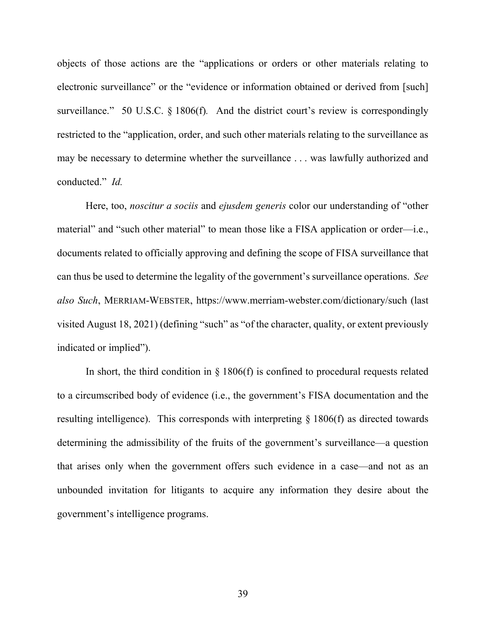objects of those actions are the "applications or orders or other materials relating to electronic surveillance" or the "evidence or information obtained or derived from [such] surveillance." 50 U.S.C. § 1806(f). And the district court's review is correspondingly restricted to the "application, order, and such other materials relating to the surveillance as may be necessary to determine whether the surveillance . . . was lawfully authorized and conducted." *Id.*

Here, too, *noscitur a sociis* and *ejusdem generis* color our understanding of "other material" and "such other material" to mean those like a FISA application or order—i.e., documents related to officially approving and defining the scope of FISA surveillance that can thus be used to determine the legality of the government's surveillance operations. *See also Such*, MERRIAM-WEBSTER, https://www.merriam-webster.com/dictionary/such (last visited August 18, 2021) (defining "such" as "of the character, quality, or extent previously indicated or implied").

In short, the third condition in  $\S$  1806(f) is confined to procedural requests related to a circumscribed body of evidence (i.e., the government's FISA documentation and the resulting intelligence). This corresponds with interpreting § 1806(f) as directed towards determining the admissibility of the fruits of the government's surveillance—a question that arises only when the government offers such evidence in a case—and not as an unbounded invitation for litigants to acquire any information they desire about the government's intelligence programs.

39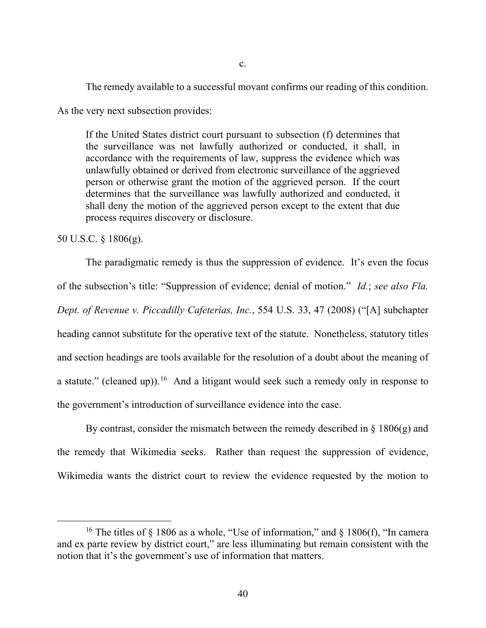The remedy available to a successful movant confirms our reading of this condition.

As the very next subsection provides:

If the United States district court pursuant to subsection (f) determines that the surveillance was not lawfully authorized or conducted, it shall, in accordance with the requirements of law, suppress the evidence which was unlawfully obtained or derived from electronic surveillance of the aggrieved person or otherwise grant the motion of the aggrieved person. If the court determines that the surveillance was lawfully authorized and conducted, it shall deny the motion of the aggrieved person except to the extent that due process requires discovery or disclosure.

50 U.S.C. § 1806(g).

The paradigmatic remedy is thus the suppression of evidence. It's even the focus of the subsection's title: "Suppression of evidence; denial of motion." *Id.*; *see also Fla. Dept. of Revenue v. Piccadilly Cafeterias, Inc.*, 554 U.S. 33, 47 (2008) ("[A] subchapter heading cannot substitute for the operative text of the statute. Nonetheless, statutory titles and section headings are tools available for the resolution of a doubt about the meaning of a statute." (cleaned up)).<sup>[16](#page-39-0)</sup> And a litigant would seek such a remedy only in response to the government's introduction of surveillance evidence into the case.

By contrast, consider the mismatch between the remedy described in  $\S$  1806(g) and the remedy that Wikimedia seeks. Rather than request the suppression of evidence, Wikimedia wants the district court to review the evidence requested by the motion to

<span id="page-39-0"></span><sup>&</sup>lt;sup>16</sup> The titles of  $\S$  1806 as a whole, "Use of information," and  $\S$  1806(f), "In camera and ex parte review by district court," are less illuminating but remain consistent with the notion that it's the government's use of information that matters.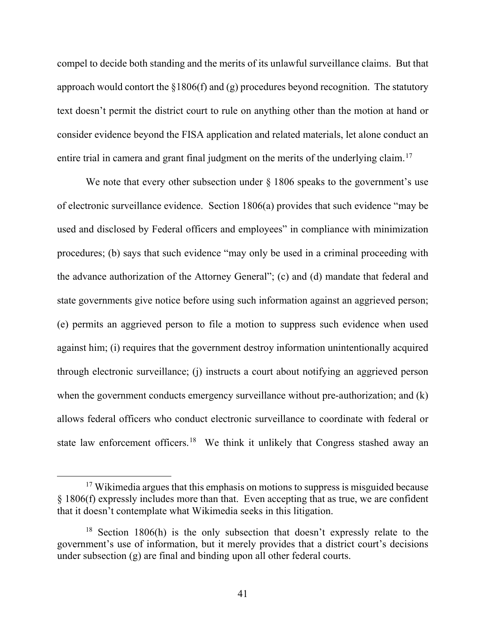compel to decide both standing and the merits of its unlawful surveillance claims. But that approach would contort the  $\S1806(f)$  and (g) procedures beyond recognition. The statutory text doesn't permit the district court to rule on anything other than the motion at hand or consider evidence beyond the FISA application and related materials, let alone conduct an entire trial in camera and grant final judgment on the merits of the underlying claim.<sup>[17](#page-40-0)</sup>

We note that every other subsection under  $\S 1806$  speaks to the government's use of electronic surveillance evidence. Section 1806(a) provides that such evidence "may be used and disclosed by Federal officers and employees" in compliance with minimization procedures; (b) says that such evidence "may only be used in a criminal proceeding with the advance authorization of the Attorney General"; (c) and (d) mandate that federal and state governments give notice before using such information against an aggrieved person; (e) permits an aggrieved person to file a motion to suppress such evidence when used against him; (i) requires that the government destroy information unintentionally acquired through electronic surveillance; (j) instructs a court about notifying an aggrieved person when the government conducts emergency surveillance without pre-authorization; and (k) allows federal officers who conduct electronic surveillance to coordinate with federal or state law enforcement officers.<sup>[18](#page-40-1)</sup> We think it unlikely that Congress stashed away an

<span id="page-40-0"></span><sup>&</sup>lt;sup>17</sup> Wikimedia argues that this emphasis on motions to suppress is misguided because § 1806(f) expressly includes more than that. Even accepting that as true, we are confident that it doesn't contemplate what Wikimedia seeks in this litigation.

<span id="page-40-1"></span><sup>&</sup>lt;sup>18</sup> Section 1806(h) is the only subsection that doesn't expressly relate to the government's use of information, but it merely provides that a district court's decisions under subsection (g) are final and binding upon all other federal courts.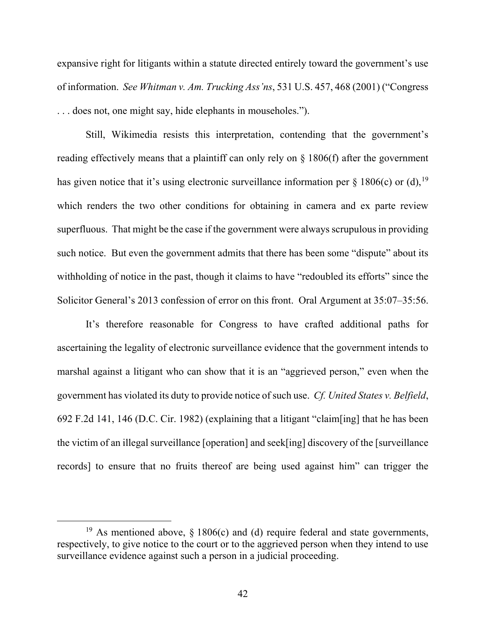expansive right for litigants within a statute directed entirely toward the government's use of information. *See Whitman v. Am. Trucking Ass'ns*, 531 U.S. 457, 468 (2001) ("Congress . . . does not, one might say, hide elephants in mouseholes.").

Still, Wikimedia resists this interpretation, contending that the government's reading effectively means that a plaintiff can only rely on § 1806(f) after the government has given notice that it's using electronic surveillance information per  $\S 1806(c)$  or (d), <sup>[19](#page-41-0)</sup> which renders the two other conditions for obtaining in camera and ex parte review superfluous. That might be the case if the government were always scrupulous in providing such notice. But even the government admits that there has been some "dispute" about its withholding of notice in the past, though it claims to have "redoubled its efforts" since the Solicitor General's 2013 confession of error on this front. Oral Argument at 35:07–35:56.

It's therefore reasonable for Congress to have crafted additional paths for ascertaining the legality of electronic surveillance evidence that the government intends to marshal against a litigant who can show that it is an "aggrieved person," even when the government has violated its duty to provide notice of such use. *Cf. United States v. Belfield*, 692 F.2d 141, 146 (D.C. Cir. 1982) (explaining that a litigant "claim[ing] that he has been the victim of an illegal surveillance [operation] and seek[ing] discovery of the [surveillance records] to ensure that no fruits thereof are being used against him" can trigger the

<span id="page-41-0"></span><sup>&</sup>lt;sup>19</sup> As mentioned above, § 1806(c) and (d) require federal and state governments, respectively, to give notice to the court or to the aggrieved person when they intend to use surveillance evidence against such a person in a judicial proceeding.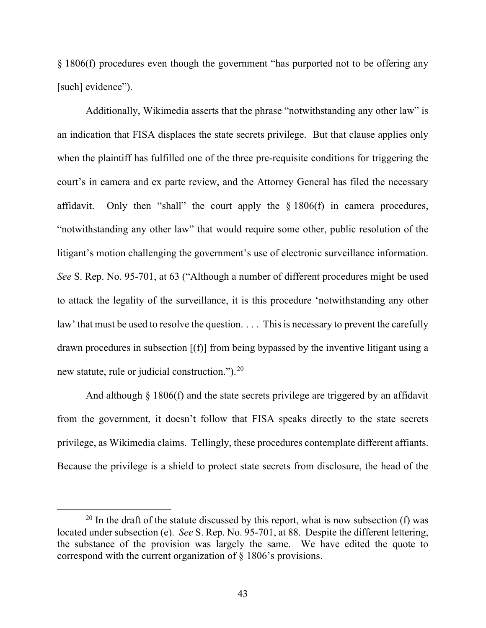§ 1806(f) procedures even though the government "has purported not to be offering any [such] evidence").

Additionally, Wikimedia asserts that the phrase "notwithstanding any other law" is an indication that FISA displaces the state secrets privilege. But that clause applies only when the plaintiff has fulfilled one of the three pre-requisite conditions for triggering the court's in camera and ex parte review, and the Attorney General has filed the necessary affidavit. Only then "shall" the court apply the  $\S 1806(f)$  in camera procedures, "notwithstanding any other law" that would require some other, public resolution of the litigant's motion challenging the government's use of electronic surveillance information. *See* S. Rep. No. 95-701, at 63 ("Although a number of different procedures might be used to attack the legality of the surveillance, it is this procedure 'notwithstanding any other law' that must be used to resolve the question. . . . This is necessary to prevent the carefully drawn procedures in subsection [(f)] from being bypassed by the inventive litigant using a new statute, rule or judicial construction.").<sup>[20](#page-42-0)</sup>

And although § 1806(f) and the state secrets privilege are triggered by an affidavit from the government, it doesn't follow that FISA speaks directly to the state secrets privilege, as Wikimedia claims. Tellingly, these procedures contemplate different affiants. Because the privilege is a shield to protect state secrets from disclosure, the head of the

<span id="page-42-0"></span><sup>&</sup>lt;sup>20</sup> In the draft of the statute discussed by this report, what is now subsection (f) was located under subsection (e). *See* S. Rep. No. 95-701, at 88. Despite the different lettering, the substance of the provision was largely the same. We have edited the quote to correspond with the current organization of § 1806's provisions.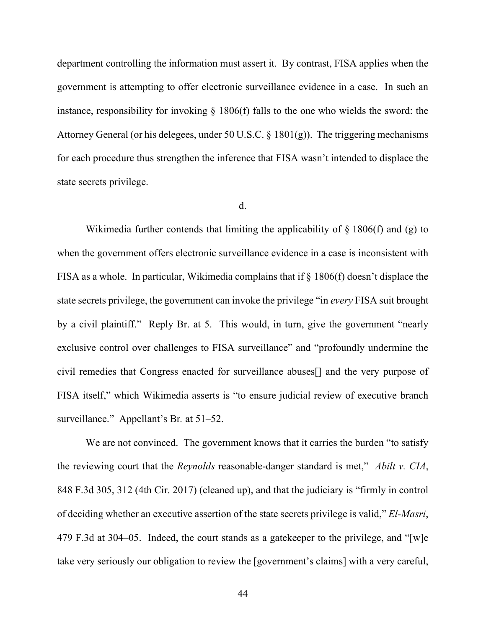department controlling the information must assert it. By contrast, FISA applies when the government is attempting to offer electronic surveillance evidence in a case. In such an instance, responsibility for invoking § 1806(f) falls to the one who wields the sword: the Attorney General (or his delegees, under 50 U.S.C. § 1801(g)). The triggering mechanisms for each procedure thus strengthen the inference that FISA wasn't intended to displace the state secrets privilege.

### d.

Wikimedia further contends that limiting the applicability of  $\S$  1806(f) and (g) to when the government offers electronic surveillance evidence in a case is inconsistent with FISA as a whole. In particular, Wikimedia complains that if § 1806(f) doesn't displace the state secrets privilege, the government can invoke the privilege "in *every* FISA suit brought by a civil plaintiff." Reply Br. at 5. This would, in turn, give the government "nearly exclusive control over challenges to FISA surveillance" and "profoundly undermine the civil remedies that Congress enacted for surveillance abuses[] and the very purpose of FISA itself," which Wikimedia asserts is "to ensure judicial review of executive branch surveillance." Appellant's Br*.* at 51–52.

We are not convinced. The government knows that it carries the burden "to satisfy the reviewing court that the *Reynolds* reasonable-danger standard is met," *Abilt v. CIA*, 848 F.3d 305, 312 (4th Cir. 2017) (cleaned up), and that the judiciary is "firmly in control of deciding whether an executive assertion of the state secrets privilege is valid," *El-Masri*, 479 F.3d at 304–05. Indeed, the court stands as a gatekeeper to the privilege, and "[w]e take very seriously our obligation to review the [government's claims] with a very careful,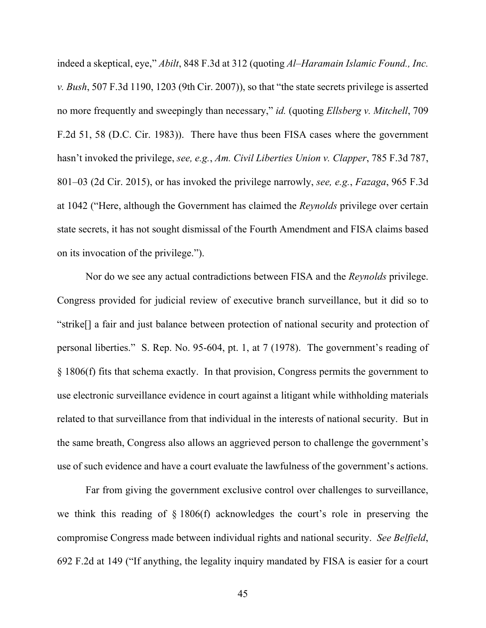indeed a skeptical, eye," *Abilt*, 848 F.3d at 312 (quoting *Al–Haramain Islamic Found., Inc. v. Bush*, 507 F.3d 1190, 1203 (9th Cir. 2007)), so that "the state secrets privilege is asserted no more frequently and sweepingly than necessary," *id.* (quoting *Ellsberg v. Mitchell*, 709 F.2d 51, 58 (D.C. Cir. 1983)). There have thus been FISA cases where the government hasn't invoked the privilege, *see, e.g.*, *Am. Civil Liberties Union v. Clapper*, 785 F.3d 787, 801–03 (2d Cir. 2015), or has invoked the privilege narrowly, *see, e.g.*, *Fazaga*, 965 F.3d at 1042 ("Here, although the Government has claimed the *Reynolds* privilege over certain state secrets, it has not sought dismissal of the Fourth Amendment and FISA claims based on its invocation of the privilege.").

Nor do we see any actual contradictions between FISA and the *Reynolds* privilege. Congress provided for judicial review of executive branch surveillance, but it did so to "strike[] a fair and just balance between protection of national security and protection of personal liberties." S. Rep. No. 95-604, pt. 1, at 7 (1978). The government's reading of § 1806(f) fits that schema exactly. In that provision, Congress permits the government to use electronic surveillance evidence in court against a litigant while withholding materials related to that surveillance from that individual in the interests of national security. But in the same breath, Congress also allows an aggrieved person to challenge the government's use of such evidence and have a court evaluate the lawfulness of the government's actions.

Far from giving the government exclusive control over challenges to surveillance, we think this reading of § 1806(f) acknowledges the court's role in preserving the compromise Congress made between individual rights and national security. *See Belfield*, 692 F.2d at 149 ("If anything, the legality inquiry mandated by FISA is easier for a court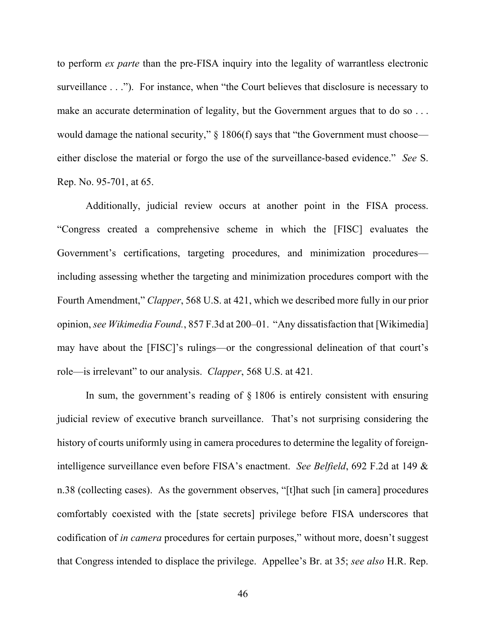to perform *ex parte* than the pre-FISA inquiry into the legality of warrantless electronic surveillance . . ."). For instance, when "the Court believes that disclosure is necessary to make an accurate determination of legality, but the Government argues that to do so ... would damage the national security,"  $\S$  1806(f) says that "the Government must choose either disclose the material or forgo the use of the surveillance-based evidence." *See* S. Rep. No. 95-701, at 65.

Additionally, judicial review occurs at another point in the FISA process. "Congress created a comprehensive scheme in which the [FISC] evaluates the Government's certifications, targeting procedures, and minimization procedures including assessing whether the targeting and minimization procedures comport with the Fourth Amendment," *Clapper*, 568 U.S. at 421, which we described more fully in our prior opinion, *see Wikimedia Found.*, 857 F.3d at 200–01."Any dissatisfaction that [Wikimedia] may have about the [FISC]'s rulings—or the congressional delineation of that court's role—is irrelevant" to our analysis. *Clapper*, 568 U.S. at 421*.* 

In sum, the government's reading of  $\S$  1806 is entirely consistent with ensuring judicial review of executive branch surveillance. That's not surprising considering the history of courts uniformly using in camera procedures to determine the legality of foreignintelligence surveillance even before FISA's enactment. *See Belfield*, 692 F.2d at 149 & n.38 (collecting cases). As the government observes, "[t]hat such [in camera] procedures comfortably coexisted with the [state secrets] privilege before FISA underscores that codification of *in camera* procedures for certain purposes," without more, doesn't suggest that Congress intended to displace the privilege. Appellee's Br. at 35; *see also* H.R. Rep.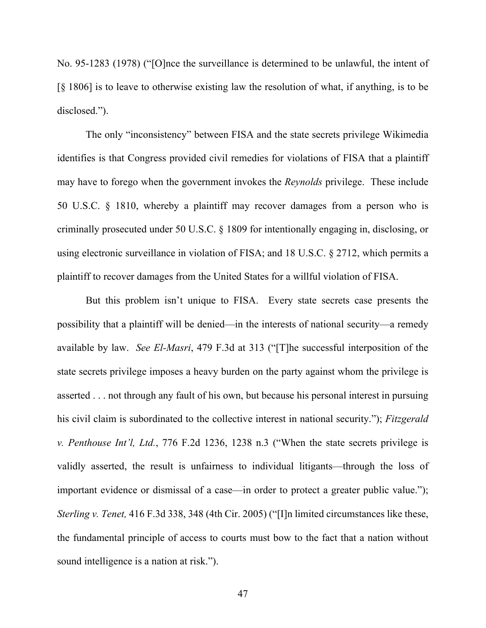No. 95-1283 (1978) ("[O]nce the surveillance is determined to be unlawful, the intent of [§ 1806] is to leave to otherwise existing law the resolution of what, if anything, is to be disclosed.").

The only "inconsistency" between FISA and the state secrets privilege Wikimedia identifies is that Congress provided civil remedies for violations of FISA that a plaintiff may have to forego when the government invokes the *Reynolds* privilege. These include 50 U.S.C. § 1810, whereby a plaintiff may recover damages from a person who is criminally prosecuted under 50 U.S.C. § 1809 for intentionally engaging in, disclosing, or using electronic surveillance in violation of FISA; and 18 U.S.C. § 2712, which permits a plaintiff to recover damages from the United States for a willful violation of FISA.

But this problem isn't unique to FISA. Every state secrets case presents the possibility that a plaintiff will be denied—in the interests of national security—a remedy available by law. *See El-Masri*, 479 F.3d at 313 ("[T]he successful interposition of the state secrets privilege imposes a heavy burden on the party against whom the privilege is asserted . . . not through any fault of his own, but because his personal interest in pursuing his civil claim is subordinated to the collective interest in national security."); *Fitzgerald v. Penthouse Int'l, Ltd.*, 776 F.2d 1236, 1238 n.3 ("When the state secrets privilege is validly asserted, the result is unfairness to individual litigants—through the loss of important evidence or dismissal of a case—in order to protect a greater public value."); *Sterling v. Tenet,* 416 F.3d 338, 348 (4th Cir. 2005) ("[I]n limited circumstances like these, the fundamental principle of access to courts must bow to the fact that a nation without sound intelligence is a nation at risk.").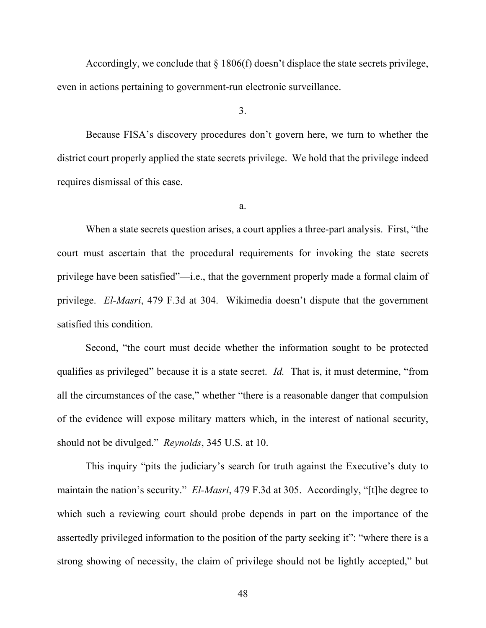Accordingly, we conclude that  $\S 1806(f)$  doesn't displace the state secrets privilege, even in actions pertaining to government-run electronic surveillance.

3.

Because FISA's discovery procedures don't govern here, we turn to whether the district court properly applied the state secrets privilege. We hold that the privilege indeed requires dismissal of this case.

a.

When a state secrets question arises, a court applies a three-part analysis. First, "the court must ascertain that the procedural requirements for invoking the state secrets privilege have been satisfied"—i.e., that the government properly made a formal claim of privilege. *El-Masri*, 479 F.3d at 304. Wikimedia doesn't dispute that the government satisfied this condition.

Second, "the court must decide whether the information sought to be protected qualifies as privileged" because it is a state secret. *Id.* That is, it must determine, "from all the circumstances of the case," whether "there is a reasonable danger that compulsion of the evidence will expose military matters which, in the interest of national security, should not be divulged." *Reynolds*, 345 U.S. at 10.

This inquiry "pits the judiciary's search for truth against the Executive's duty to maintain the nation's security." *El-Masri*, 479 F.3d at 305. Accordingly, "[t]he degree to which such a reviewing court should probe depends in part on the importance of the assertedly privileged information to the position of the party seeking it": "where there is a strong showing of necessity, the claim of privilege should not be lightly accepted," but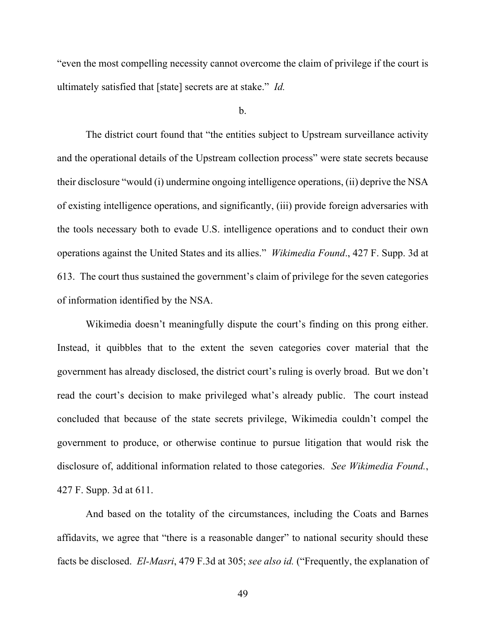"even the most compelling necessity cannot overcome the claim of privilege if the court is ultimately satisfied that [state] secrets are at stake." *Id.*

b.

The district court found that "the entities subject to Upstream surveillance activity and the operational details of the Upstream collection process" were state secrets because their disclosure "would (i) undermine ongoing intelligence operations, (ii) deprive the NSA of existing intelligence operations, and significantly, (iii) provide foreign adversaries with the tools necessary both to evade U.S. intelligence operations and to conduct their own operations against the United States and its allies." *Wikimedia Found*., 427 F. Supp. 3d at 613. The court thus sustained the government's claim of privilege for the seven categories of information identified by the NSA.

Wikimedia doesn't meaningfully dispute the court's finding on this prong either. Instead, it quibbles that to the extent the seven categories cover material that the government has already disclosed, the district court's ruling is overly broad. But we don't read the court's decision to make privileged what's already public. The court instead concluded that because of the state secrets privilege, Wikimedia couldn't compel the government to produce, or otherwise continue to pursue litigation that would risk the disclosure of, additional information related to those categories. *See Wikimedia Found.*, 427 F. Supp. 3d at 611.

And based on the totality of the circumstances, including the Coats and Barnes affidavits, we agree that "there is a reasonable danger" to national security should these facts be disclosed. *El-Masri*, 479 F.3d at 305; *see also id.* ("Frequently, the explanation of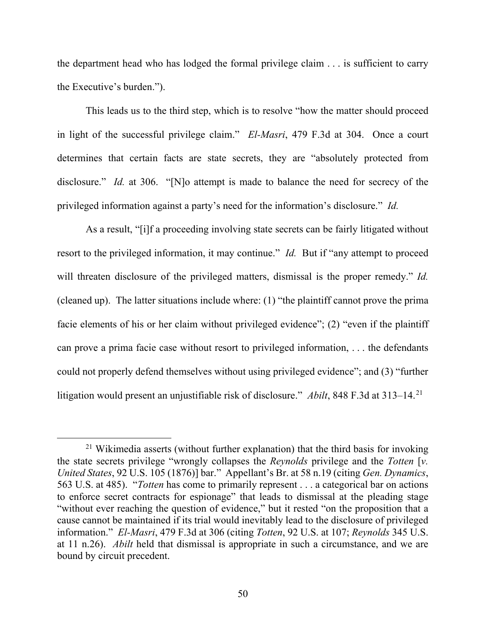the department head who has lodged the formal privilege claim . . . is sufficient to carry the Executive's burden.").

This leads us to the third step, which is to resolve "how the matter should proceed in light of the successful privilege claim." *El-Masri*, 479 F.3d at 304. Once a court determines that certain facts are state secrets, they are "absolutely protected from disclosure." *Id.* at 306. "[N]o attempt is made to balance the need for secrecy of the privileged information against a party's need for the information's disclosure." *Id.*

As a result, "[i]f a proceeding involving state secrets can be fairly litigated without resort to the privileged information, it may continue." *Id.* But if "any attempt to proceed will threaten disclosure of the privileged matters, dismissal is the proper remedy." *Id.*  (cleaned up). The latter situations include where: (1) "the plaintiff cannot prove the prima facie elements of his or her claim without privileged evidence"; (2) "even if the plaintiff can prove a prima facie case without resort to privileged information, . . . the defendants could not properly defend themselves without using privileged evidence"; and (3) "further litigation would present an unjustifiable risk of disclosure." *Abilt*, 848 F.3d at 313–14.<sup>21</sup>

<span id="page-49-0"></span><sup>&</sup>lt;sup>21</sup> Wikimedia asserts (without further explanation) that the third basis for invoking the state secrets privilege "wrongly collapses the *Reynolds* privilege and the *Totten* [*v. United States*, 92 U.S. 105 (1876)] bar." Appellant's Br. at 58 n.19 (citing *Gen. Dynamics*, 563 U.S. at 485). "*Totten* has come to primarily represent . . . a categorical bar on actions to enforce secret contracts for espionage" that leads to dismissal at the pleading stage "without ever reaching the question of evidence," but it rested "on the proposition that a cause cannot be maintained if its trial would inevitably lead to the disclosure of privileged information." *El-Masri*, 479 F.3d at 306 (citing *Totten*, 92 U.S. at 107; *Reynolds* 345 U.S. at 11 n.26). *Abilt* held that dismissal is appropriate in such a circumstance, and we are bound by circuit precedent.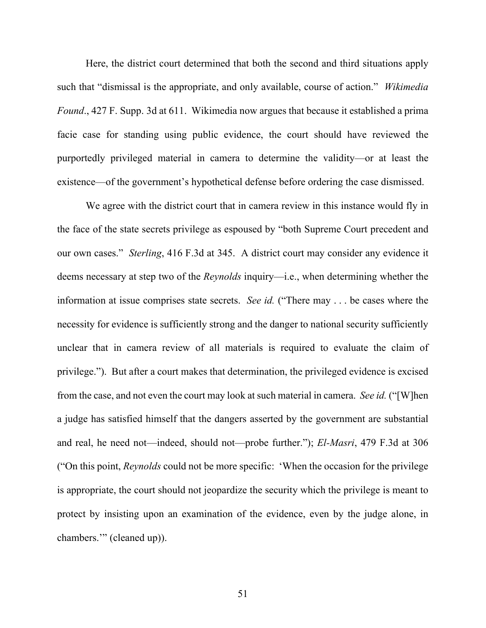Here, the district court determined that both the second and third situations apply such that "dismissal is the appropriate, and only available, course of action." *Wikimedia Found*., 427 F. Supp. 3d at 611. Wikimedia now argues that because it established a prima facie case for standing using public evidence, the court should have reviewed the purportedly privileged material in camera to determine the validity—or at least the existence—of the government's hypothetical defense before ordering the case dismissed.

We agree with the district court that in camera review in this instance would fly in the face of the state secrets privilege as espoused by "both Supreme Court precedent and our own cases." *Sterling*, 416 F.3d at 345. A district court may consider any evidence it deems necessary at step two of the *Reynolds* inquiry—i.e., when determining whether the information at issue comprises state secrets. *See id.* ("There may . . . be cases where the necessity for evidence is sufficiently strong and the danger to national security sufficiently unclear that in camera review of all materials is required to evaluate the claim of privilege."). But after a court makes that determination, the privileged evidence is excised from the case, and not even the court may look at such material in camera. *See id.* ("[W]hen a judge has satisfied himself that the dangers asserted by the government are substantial and real, he need not—indeed, should not—probe further."); *El-Masri*, 479 F.3d at 306 ("On this point, *Reynolds* could not be more specific: 'When the occasion for the privilege is appropriate, the court should not jeopardize the security which the privilege is meant to protect by insisting upon an examination of the evidence, even by the judge alone, in chambers.'" (cleaned up)).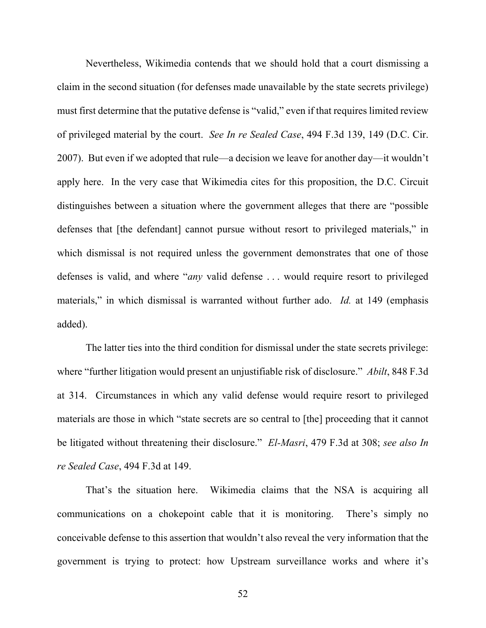Nevertheless, Wikimedia contends that we should hold that a court dismissing a claim in the second situation (for defenses made unavailable by the state secrets privilege) must first determine that the putative defense is "valid," even if that requires limited review of privileged material by the court. *See In re Sealed Case*, 494 F.3d 139, 149 (D.C. Cir. 2007). But even if we adopted that rule—a decision we leave for another day—it wouldn't apply here. In the very case that Wikimedia cites for this proposition, the D.C. Circuit distinguishes between a situation where the government alleges that there are "possible defenses that [the defendant] cannot pursue without resort to privileged materials," in which dismissal is not required unless the government demonstrates that one of those defenses is valid, and where "*any* valid defense . . . would require resort to privileged materials," in which dismissal is warranted without further ado. *Id.* at 149 (emphasis added).

The latter ties into the third condition for dismissal under the state secrets privilege: where "further litigation would present an unjustifiable risk of disclosure." *Abilt*, 848 F.3d at 314. Circumstances in which any valid defense would require resort to privileged materials are those in which "state secrets are so central to [the] proceeding that it cannot be litigated without threatening their disclosure." *El-Masri*, 479 F.3d at 308; *see also In re Sealed Case*, 494 F.3d at 149.

That's the situation here. Wikimedia claims that the NSA is acquiring all communications on a chokepoint cable that it is monitoring. There's simply no conceivable defense to this assertion that wouldn't also reveal the very information that the government is trying to protect: how Upstream surveillance works and where it's

52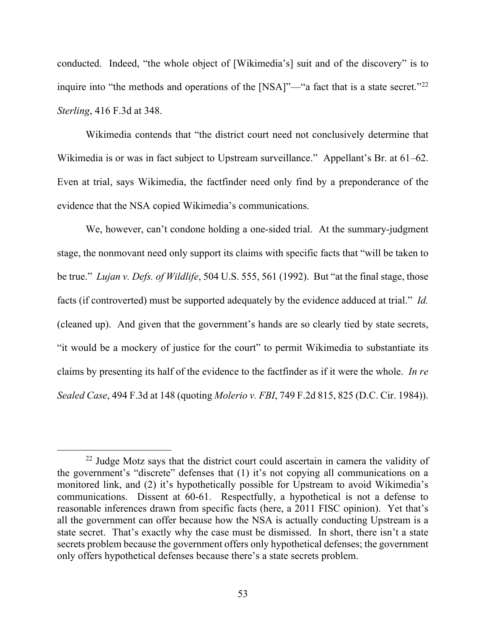conducted. Indeed, "the whole object of [Wikimedia's] suit and of the discovery" is to inquire into "the methods and operations of the [NSA]"—"a fact that is a state secret."<sup>[22](#page-52-0)</sup> *Sterling*, 416 F.3d at 348.

Wikimedia contends that "the district court need not conclusively determine that Wikimedia is or was in fact subject to Upstream surveillance." Appellant's Br. at 61–62. Even at trial, says Wikimedia, the factfinder need only find by a preponderance of the evidence that the NSA copied Wikimedia's communications.

We, however, can't condone holding a one-sided trial. At the summary-judgment stage, the nonmovant need only support its claims with specific facts that "will be taken to be true." *Lujan v. Defs. of Wildlife*, 504 U.S. 555, 561 (1992). But "at the final stage, those facts (if controverted) must be supported adequately by the evidence adduced at trial." *Id.*  (cleaned up). And given that the government's hands are so clearly tied by state secrets, "it would be a mockery of justice for the court" to permit Wikimedia to substantiate its claims by presenting its half of the evidence to the factfinder as if it were the whole. *In re Sealed Case*, 494 F.3d at 148 (quoting *Molerio v. FBI*, 749 F.2d 815, 825 (D.C. Cir. 1984)).

<span id="page-52-0"></span><sup>&</sup>lt;sup>22</sup> Judge Motz says that the district court could ascertain in camera the validity of the government's "discrete" defenses that (1) it's not copying all communications on a monitored link, and (2) it's hypothetically possible for Upstream to avoid Wikimedia's communications. Dissent at 60-61. Respectfully, a hypothetical is not a defense to reasonable inferences drawn from specific facts (here, a 2011 FISC opinion). Yet that's all the government can offer because how the NSA is actually conducting Upstream is a state secret. That's exactly why the case must be dismissed. In short, there isn't a state secrets problem because the government offers only hypothetical defenses; the government only offers hypothetical defenses because there's a state secrets problem.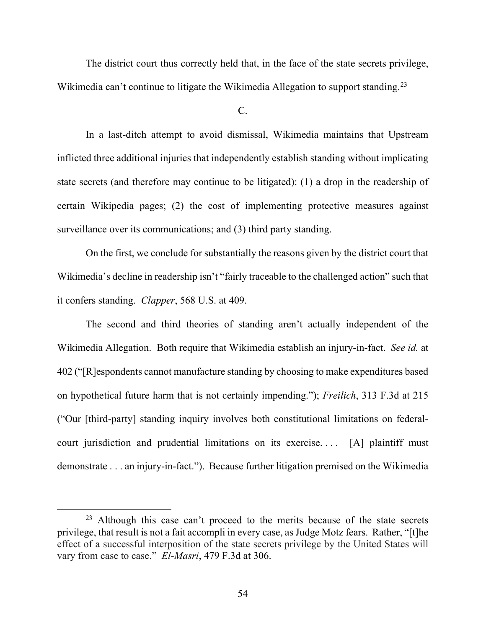The district court thus correctly held that, in the face of the state secrets privilege, Wikimedia can't continue to litigate the Wikimedia Allegation to support standing.<sup>[23](#page-53-0)</sup>

 $C<sub>c</sub>$ 

In a last-ditch attempt to avoid dismissal, Wikimedia maintains that Upstream inflicted three additional injuries that independently establish standing without implicating state secrets (and therefore may continue to be litigated): (1) a drop in the readership of certain Wikipedia pages; (2) the cost of implementing protective measures against surveillance over its communications; and (3) third party standing.

On the first, we conclude for substantially the reasons given by the district court that Wikimedia's decline in readership isn't "fairly traceable to the challenged action" such that it confers standing. *Clapper*, 568 U.S. at 409.

The second and third theories of standing aren't actually independent of the Wikimedia Allegation. Both require that Wikimedia establish an injury-in-fact. *See id.* at 402 ("[R]espondents cannot manufacture standing by choosing to make expenditures based on hypothetical future harm that is not certainly impending."); *Freilich*, 313 F.3d at 215 ("Our [third-party] standing inquiry involves both constitutional limitations on federalcourt jurisdiction and prudential limitations on its exercise.... [A] plaintiff must demonstrate . . . an injury-in-fact."). Because further litigation premised on the Wikimedia

<span id="page-53-0"></span><sup>&</sup>lt;sup>23</sup> Although this case can't proceed to the merits because of the state secrets privilege, that result is not a fait accompli in every case, as Judge Motz fears. Rather, "[t]he effect of a successful interposition of the state secrets privilege by the United States will vary from case to case." *El-Masri*, 479 F.3d at 306.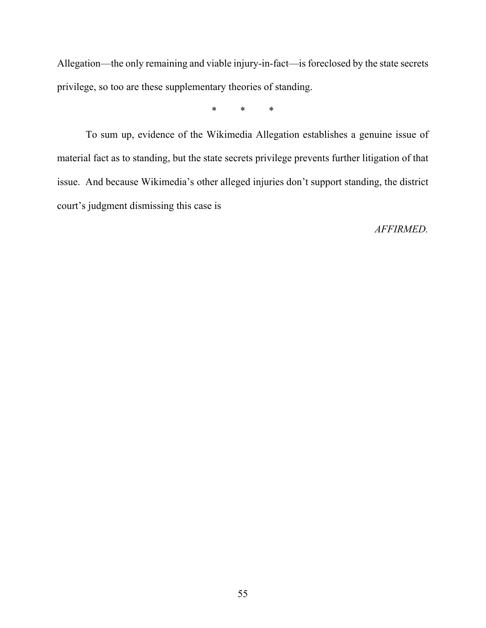Allegation—the only remaining and viable injury-in-fact—is foreclosed by the state secrets privilege, so too are these supplementary theories of standing.

\* \* \*

To sum up, evidence of the Wikimedia Allegation establishes a genuine issue of material fact as to standing, but the state secrets privilege prevents further litigation of that issue. And because Wikimedia's other alleged injuries don't support standing, the district court's judgment dismissing this case is

*AFFIRMED.*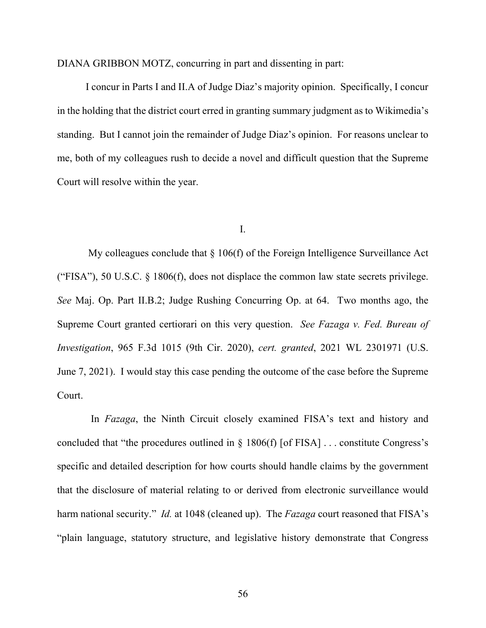DIANA GRIBBON MOTZ, concurring in part and dissenting in part:

I concur in Parts I and II.A of Judge Diaz's majority opinion. Specifically, I concur in the holding that the district court erred in granting summary judgment as to Wikimedia's standing. But I cannot join the remainder of Judge Diaz's opinion. For reasons unclear to me, both of my colleagues rush to decide a novel and difficult question that the Supreme Court will resolve within the year.

#### I.

My colleagues conclude that  $\S 106(f)$  of the Foreign Intelligence Surveillance Act ("FISA"), 50 U.S.C.  $\S$  1806(f), does not displace the common law state secrets privilege. *See* Maj. Op. Part II.B.2; Judge Rushing Concurring Op. at 64. Two months ago, the Supreme Court granted certiorari on this very question. *See Fazaga v. Fed. Bureau of Investigation*, 965 F.3d 1015 (9th Cir. 2020), *cert. granted*, 2021 WL 2301971 (U.S. June 7, 2021). I would stay this case pending the outcome of the case before the Supreme Court.

 In *Fazaga*, the Ninth Circuit closely examined FISA's text and history and concluded that "the procedures outlined in § 1806(f) [of FISA] . . . constitute Congress's specific and detailed description for how courts should handle claims by the government that the disclosure of material relating to or derived from electronic surveillance would harm national security." *Id.* at 1048 (cleaned up). The *Fazaga* court reasoned that FISA's "plain language, statutory structure, and legislative history demonstrate that Congress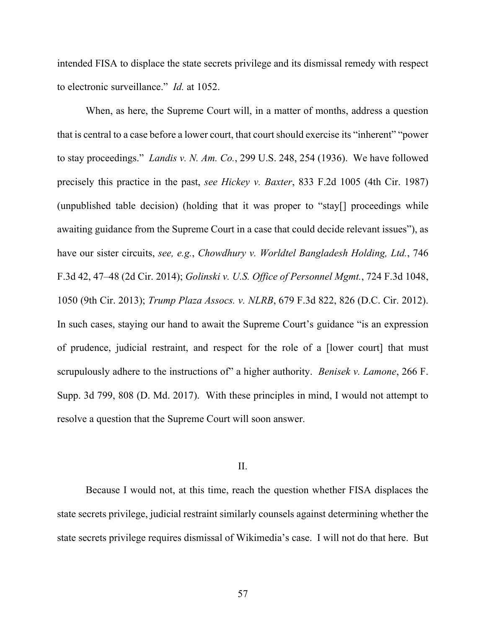intended FISA to displace the state secrets privilege and its dismissal remedy with respect to electronic surveillance." *Id.* at 1052.

When, as here, the Supreme Court will, in a matter of months, address a question that is central to a case before a lower court, that court should exercise its "inherent" "power to stay proceedings." *Landis v. N. Am. Co.*, 299 U.S. 248, 254 (1936). We have followed precisely this practice in the past, *see Hickey v. Baxter*, 833 F.2d 1005 (4th Cir. 1987) (unpublished table decision) (holding that it was proper to "stay[] proceedings while awaiting guidance from the Supreme Court in a case that could decide relevant issues"), as have our sister circuits, *see, e.g.*, *Chowdhury v. Worldtel Bangladesh Holding, Ltd.*, 746 F.3d 42, 47–48 (2d Cir. 2014); *Golinski v. U.S. Office of Personnel Mgmt.*, 724 F.3d 1048, 1050 (9th Cir. 2013); *Trump Plaza Assocs. v. NLRB*, 679 F.3d 822, 826 (D.C. Cir. 2012). In such cases, staying our hand to await the Supreme Court's guidance "is an expression of prudence, judicial restraint, and respect for the role of a [lower court] that must scrupulously adhere to the instructions of" a higher authority. *Benisek v. Lamone*, 266 F. Supp. 3d 799, 808 (D. Md. 2017). With these principles in mind, I would not attempt to resolve a question that the Supreme Court will soon answer.

#### II.

Because I would not, at this time, reach the question whether FISA displaces the state secrets privilege, judicial restraint similarly counsels against determining whether the state secrets privilege requires dismissal of Wikimedia's case. I will not do that here. But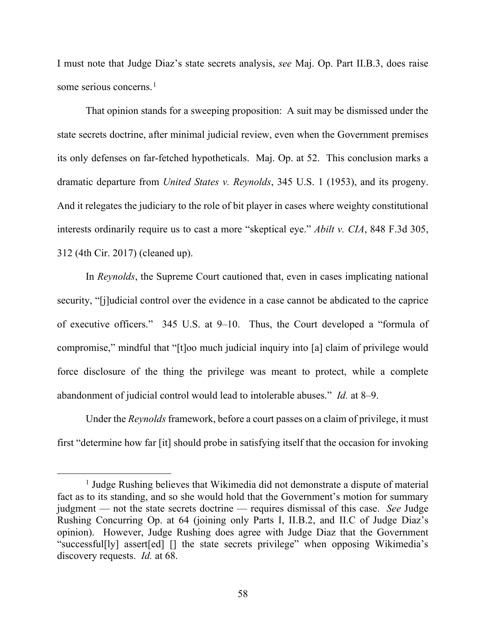I must note that Judge Diaz's state secrets analysis, *see* Maj. Op. Part II.B.3, does raise some serious concerns.<sup>[1](#page-57-0)</sup>

That opinion stands for a sweeping proposition: A suit may be dismissed under the state secrets doctrine, after minimal judicial review, even when the Government premises its only defenses on far-fetched hypotheticals. Maj. Op. at 52. This conclusion marks a dramatic departure from *United States v. Reynolds*, 345 U.S. 1 (1953), and its progeny. And it relegates the judiciary to the role of bit player in cases where weighty constitutional interests ordinarily require us to cast a more "skeptical eye." *Abilt v. CIA*, 848 F.3d 305, 312 (4th Cir. 2017) (cleaned up).

In *Reynolds*, the Supreme Court cautioned that, even in cases implicating national security, "[j]udicial control over the evidence in a case cannot be abdicated to the caprice of executive officers." 345 U.S. at 9–10. Thus, the Court developed a "formula of compromise," mindful that "[t]oo much judicial inquiry into [a] claim of privilege would force disclosure of the thing the privilege was meant to protect, while a complete abandonment of judicial control would lead to intolerable abuses." *Id.* at 8–9.

Under the *Reynolds* framework, before a court passes on a claim of privilege, it must first "determine how far [it] should probe in satisfying itself that the occasion for invoking

<span id="page-57-0"></span><sup>&</sup>lt;sup>1</sup> Judge Rushing believes that Wikimedia did not demonstrate a dispute of material fact as to its standing, and so she would hold that the Government's motion for summary judgment — not the state secrets doctrine — requires dismissal of this case. *See* Judge Rushing Concurring Op. at 64 (joining only Parts I, II.B.2, and II.C of Judge Diaz's opinion). However, Judge Rushing does agree with Judge Diaz that the Government "successful[ly] assert[ed] [] the state secrets privilege" when opposing Wikimedia's discovery requests. *Id.* at 68.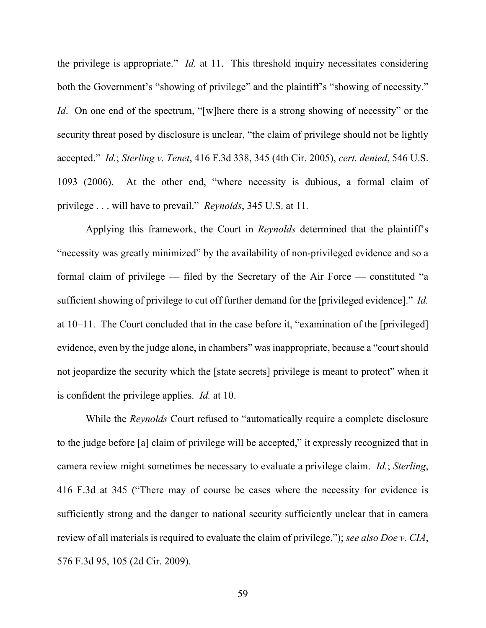the privilege is appropriate." *Id.* at 11. This threshold inquiry necessitates considering both the Government's "showing of privilege" and the plaintiff's "showing of necessity." *Id*. On one end of the spectrum, "[w]here there is a strong showing of necessity" or the security threat posed by disclosure is unclear, "the claim of privilege should not be lightly accepted." *Id.*; *Sterling v. Tenet*, 416 F.3d 338, 345 (4th Cir. 2005), *cert. denied*, 546 U.S. 1093 (2006). At the other end, "where necessity is dubious, a formal claim of privilege . . . will have to prevail." *Reynolds*, 345 U.S. at 11*.*

Applying this framework, the Court in *Reynolds* determined that the plaintiff's "necessity was greatly minimized" by the availability of non-privileged evidence and so a formal claim of privilege — filed by the Secretary of the Air Force — constituted "a sufficient showing of privilege to cut off further demand for the [privileged evidence]." *Id.* at 10–11. The Court concluded that in the case before it, "examination of the [privileged] evidence, even by the judge alone, in chambers" was inappropriate, because a "court should not jeopardize the security which the [state secrets] privilege is meant to protect" when it is confident the privilege applies. *Id.* at 10.

While the *Reynolds* Court refused to "automatically require a complete disclosure to the judge before [a] claim of privilege will be accepted," it expressly recognized that in camera review might sometimes be necessary to evaluate a privilege claim. *Id.*; *Sterling*, 416 F.3d at 345 ("There may of course be cases where the necessity for evidence is sufficiently strong and the danger to national security sufficiently unclear that in camera review of all materials is required to evaluate the claim of privilege."); *see also Doe v. CIA*, 576 F.3d 95, 105 (2d Cir. 2009).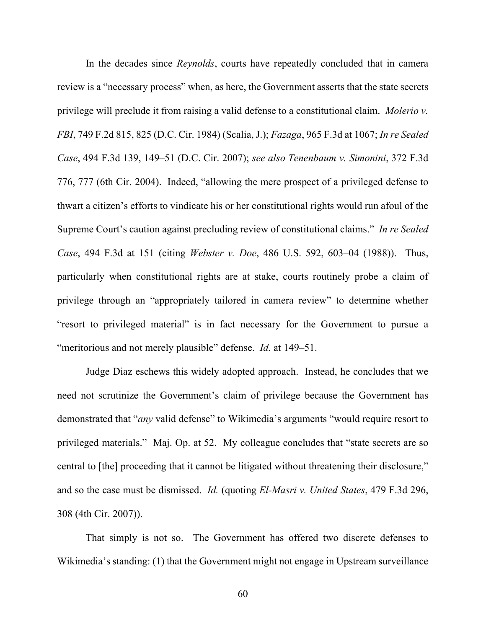In the decades since *Reynolds*, courts have repeatedly concluded that in camera review is a "necessary process" when, as here, the Government asserts that the state secrets privilege will preclude it from raising a valid defense to a constitutional claim. *Molerio v. FBI*, 749 F.2d 815, 825 (D.C. Cir. 1984) (Scalia, J.); *Fazaga*, 965 F.3d at 1067; *In re Sealed Case*, 494 F.3d 139, 149–51 (D.C. Cir. 2007); *see also Tenenbaum v. Simonini*, 372 F.3d 776, 777 (6th Cir. 2004). Indeed, "allowing the mere prospect of a privileged defense to thwart a citizen's efforts to vindicate his or her constitutional rights would run afoul of the Supreme Court's caution against precluding review of constitutional claims." *In re Sealed Case*, 494 F.3d at 151 (citing *Webster v. Doe*, 486 U.S. 592, 603–04 (1988)). Thus, particularly when constitutional rights are at stake, courts routinely probe a claim of privilege through an "appropriately tailored in camera review" to determine whether "resort to privileged material" is in fact necessary for the Government to pursue a "meritorious and not merely plausible" defense. *Id.* at 149–51.

Judge Diaz eschews this widely adopted approach. Instead, he concludes that we need not scrutinize the Government's claim of privilege because the Government has demonstrated that "*any* valid defense" to Wikimedia's arguments "would require resort to privileged materials." Maj. Op. at 52. My colleague concludes that "state secrets are so central to [the] proceeding that it cannot be litigated without threatening their disclosure," and so the case must be dismissed. *Id.* (quoting *El-Masri v. United States*, 479 F.3d 296, 308 (4th Cir. 2007)).

That simply is not so. The Government has offered two discrete defenses to Wikimedia's standing: (1) that the Government might not engage in Upstream surveillance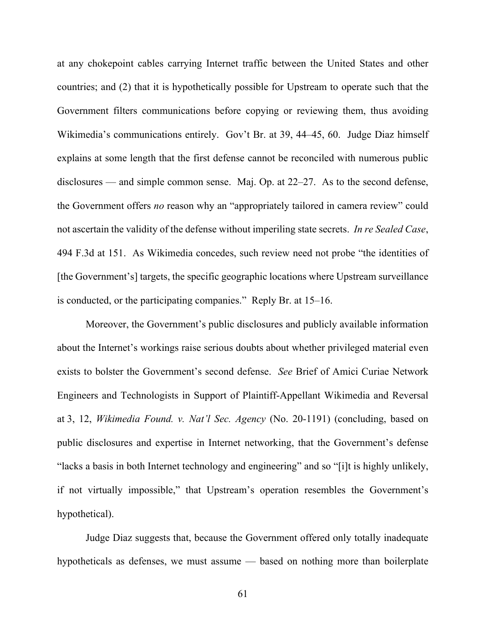at any chokepoint cables carrying Internet traffic between the United States and other countries; and (2) that it is hypothetically possible for Upstream to operate such that the Government filters communications before copying or reviewing them, thus avoiding Wikimedia's communications entirely. Gov't Br. at 39, 44–45, 60. Judge Diaz himself explains at some length that the first defense cannot be reconciled with numerous public disclosures — and simple common sense. Maj. Op. at 22–27. As to the second defense, the Government offers *no* reason why an "appropriately tailored in camera review" could not ascertain the validity of the defense without imperiling state secrets. *In re Sealed Case*, 494 F.3d at 151. As Wikimedia concedes, such review need not probe "the identities of [the Government's] targets, the specific geographic locations where Upstream surveillance is conducted, or the participating companies." Reply Br. at 15–16.

Moreover, the Government's public disclosures and publicly available information about the Internet's workings raise serious doubts about whether privileged material even exists to bolster the Government's second defense. *See* Brief of Amici Curiae Network Engineers and Technologists in Support of Plaintiff-Appellant Wikimedia and Reversal at 3, 12, *Wikimedia Found. v. Nat'l Sec. Agency* (No. 20-1191) (concluding, based on public disclosures and expertise in Internet networking, that the Government's defense "lacks a basis in both Internet technology and engineering" and so "[i]t is highly unlikely, if not virtually impossible," that Upstream's operation resembles the Government's hypothetical).

Judge Diaz suggests that, because the Government offered only totally inadequate hypotheticals as defenses, we must assume — based on nothing more than boilerplate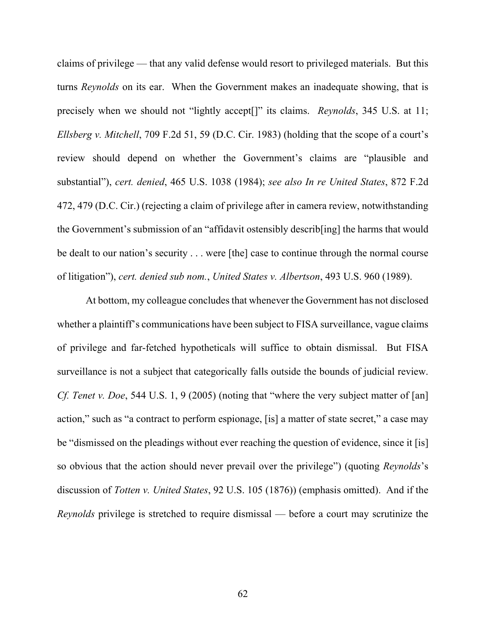claims of privilege — that any valid defense would resort to privileged materials. But this turns *Reynolds* on its ear. When the Government makes an inadequate showing, that is precisely when we should not "lightly accept[]" its claims. *Reynolds*, 345 U.S. at 11; *Ellsberg v. Mitchell*, 709 F.2d 51, 59 (D.C. Cir. 1983) (holding that the scope of a court's review should depend on whether the Government's claims are "plausible and substantial"), *cert. denied*, 465 U.S. 1038 (1984); *see also In re United States*, 872 F.2d 472, 479 (D.C. Cir.) (rejecting a claim of privilege after in camera review, notwithstanding the Government's submission of an "affidavit ostensibly describ[ing] the harms that would be dealt to our nation's security . . . were [the] case to continue through the normal course of litigation"), *cert. denied sub nom.*, *United States v. Albertson*, 493 U.S. 960 (1989).

At bottom, my colleague concludes that whenever the Government has not disclosed whether a plaintiff's communications have been subject to FISA surveillance, vague claims of privilege and far-fetched hypotheticals will suffice to obtain dismissal. But FISA surveillance is not a subject that categorically falls outside the bounds of judicial review. *Cf. Tenet v. Doe*, 544 U.S. 1, 9 (2005) (noting that "where the very subject matter of [an] action," such as "a contract to perform espionage, [is] a matter of state secret," a case may be "dismissed on the pleadings without ever reaching the question of evidence, since it [is] so obvious that the action should never prevail over the privilege") (quoting *Reynolds*'s discussion of *Totten v. United States*, 92 U.S. 105 (1876)) (emphasis omitted). And if the *Reynolds* privilege is stretched to require dismissal — before a court may scrutinize the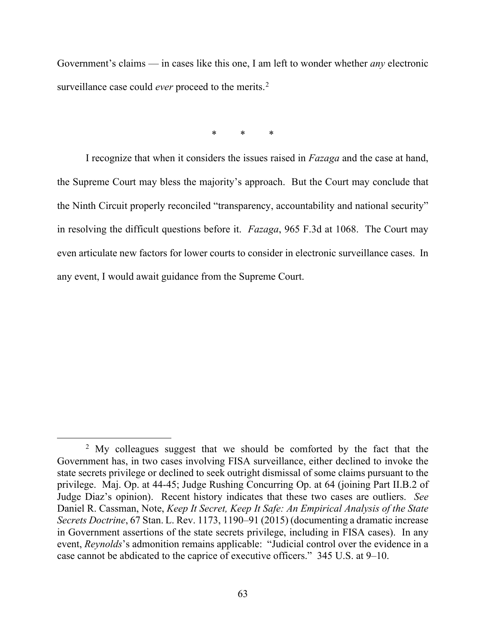Government's claims — in cases like this one, I am left to wonder whether *any* electronic surveillance case could *ever* proceed to the merits.<sup>[2](#page-62-0)</sup>

\* \* \*

I recognize that when it considers the issues raised in *Fazaga* and the case at hand, the Supreme Court may bless the majority's approach. But the Court may conclude that the Ninth Circuit properly reconciled "transparency, accountability and national security" in resolving the difficult questions before it. *Fazaga*, 965 F.3d at 1068. The Court may even articulate new factors for lower courts to consider in electronic surveillance cases. In any event, I would await guidance from the Supreme Court.

<span id="page-62-0"></span><sup>&</sup>lt;sup>2</sup> My colleagues suggest that we should be comforted by the fact that the Government has, in two cases involving FISA surveillance, either declined to invoke the state secrets privilege or declined to seek outright dismissal of some claims pursuant to the privilege. Maj. Op. at 44-45; Judge Rushing Concurring Op. at 64 (joining Part II.B.2 of Judge Diaz's opinion). Recent history indicates that these two cases are outliers. *See* Daniel R. Cassman, Note, *Keep It Secret, Keep It Safe: An Empirical Analysis of the State Secrets Doctrine*, 67 Stan. L. Rev. 1173, 1190–91 (2015) (documenting a dramatic increase in Government assertions of the state secrets privilege, including in FISA cases). In any event, *Reynolds*'s admonition remains applicable: "Judicial control over the evidence in a case cannot be abdicated to the caprice of executive officers." 345 U.S. at 9–10.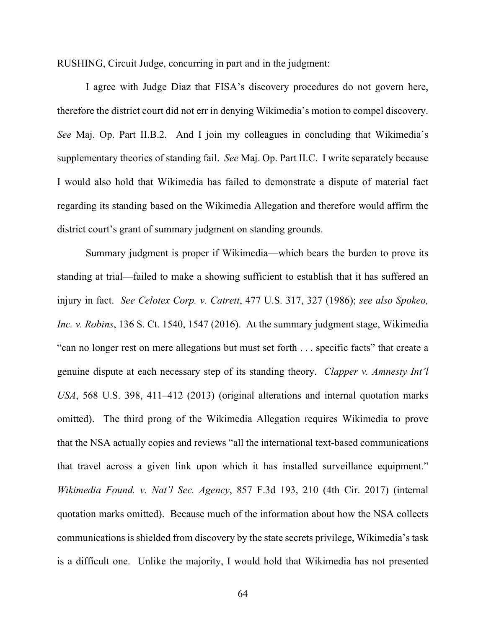RUSHING, Circuit Judge, concurring in part and in the judgment:

I agree with Judge Diaz that FISA's discovery procedures do not govern here, therefore the district court did not err in denying Wikimedia's motion to compel discovery. *See* Maj. Op. Part II.B.2. And I join my colleagues in concluding that Wikimedia's supplementary theories of standing fail. *See* Maj. Op. Part II.C. I write separately because I would also hold that Wikimedia has failed to demonstrate a dispute of material fact regarding its standing based on the Wikimedia Allegation and therefore would affirm the district court's grant of summary judgment on standing grounds.

Summary judgment is proper if Wikimedia—which bears the burden to prove its standing at trial—failed to make a showing sufficient to establish that it has suffered an injury in fact. *See Celotex Corp. v. Catrett*, 477 U.S. 317, 327 (1986); *see also Spokeo, Inc. v. Robins*, 136 S. Ct. 1540, 1547 (2016). At the summary judgment stage, Wikimedia "can no longer rest on mere allegations but must set forth . . . specific facts" that create a genuine dispute at each necessary step of its standing theory. *Clapper v. Amnesty Int'l USA*, 568 U.S. 398, 411–412 (2013) (original alterations and internal quotation marks omitted). The third prong of the Wikimedia Allegation requires Wikimedia to prove that the NSA actually copies and reviews "all the international text-based communications that travel across a given link upon which it has installed surveillance equipment." *Wikimedia Found. v. Nat'l Sec. Agency*, 857 F.3d 193, 210 (4th Cir. 2017) (internal quotation marks omitted). Because much of the information about how the NSA collects communications is shielded from discovery by the state secrets privilege, Wikimedia's task is a difficult one. Unlike the majority, I would hold that Wikimedia has not presented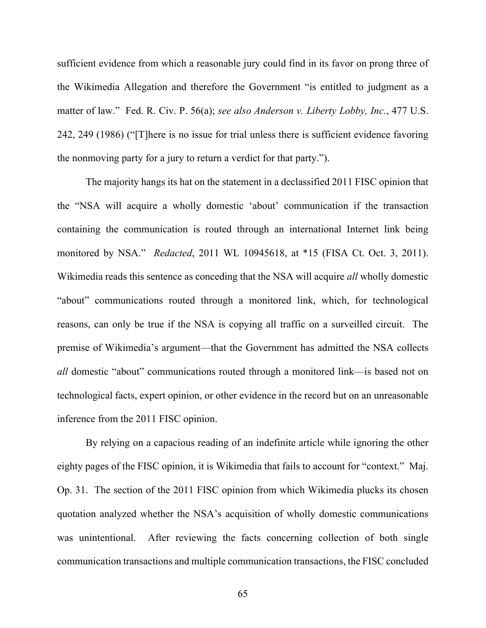sufficient evidence from which a reasonable jury could find in its favor on prong three of the Wikimedia Allegation and therefore the Government "is entitled to judgment as a matter of law." Fed. R. Civ. P. 56(a); *see also Anderson v. Liberty Lobby, Inc.*, 477 U.S. 242, 249 (1986) ("[T]here is no issue for trial unless there is sufficient evidence favoring the nonmoving party for a jury to return a verdict for that party.").

The majority hangs its hat on the statement in a declassified 2011 FISC opinion that the "NSA will acquire a wholly domestic 'about' communication if the transaction containing the communication is routed through an international Internet link being monitored by NSA." *Redacted*, 2011 WL 10945618, at \*15 (FISA Ct. Oct. 3, 2011). Wikimedia reads this sentence as conceding that the NSA will acquire *all* wholly domestic "about" communications routed through a monitored link, which, for technological reasons, can only be true if the NSA is copying all traffic on a surveilled circuit. The premise of Wikimedia's argument—that the Government has admitted the NSA collects *all* domestic "about" communications routed through a monitored link—is based not on technological facts, expert opinion, or other evidence in the record but on an unreasonable inference from the 2011 FISC opinion.

By relying on a capacious reading of an indefinite article while ignoring the other eighty pages of the FISC opinion, it is Wikimedia that fails to account for "context." Maj. Op. 31. The section of the 2011 FISC opinion from which Wikimedia plucks its chosen quotation analyzed whether the NSA's acquisition of wholly domestic communications was unintentional. After reviewing the facts concerning collection of both single communication transactions and multiple communication transactions, the FISC concluded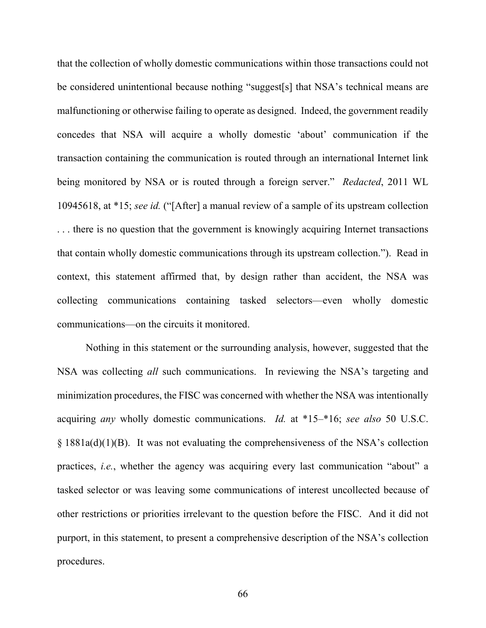that the collection of wholly domestic communications within those transactions could not be considered unintentional because nothing "suggest[s] that NSA's technical means are malfunctioning or otherwise failing to operate as designed. Indeed, the government readily concedes that NSA will acquire a wholly domestic 'about' communication if the transaction containing the communication is routed through an international Internet link being monitored by NSA or is routed through a foreign server." *Redacted*, 2011 WL 10945618, at \*15; *see id.* ("[After] a manual review of a sample of its upstream collection . . . there is no question that the government is knowingly acquiring Internet transactions that contain wholly domestic communications through its upstream collection."). Read in context, this statement affirmed that, by design rather than accident, the NSA was collecting communications containing tasked selectors—even wholly domestic communications—on the circuits it monitored.

Nothing in this statement or the surrounding analysis, however, suggested that the NSA was collecting *all* such communications. In reviewing the NSA's targeting and minimization procedures, the FISC was concerned with whether the NSA was intentionally acquiring *any* wholly domestic communications. *Id.* at \*15–\*16; *see also* 50 U.S.C. § 1881a(d)(1)(B). It was not evaluating the comprehensiveness of the NSA's collection practices, *i.e.*, whether the agency was acquiring every last communication "about" a tasked selector or was leaving some communications of interest uncollected because of other restrictions or priorities irrelevant to the question before the FISC. And it did not purport, in this statement, to present a comprehensive description of the NSA's collection procedures.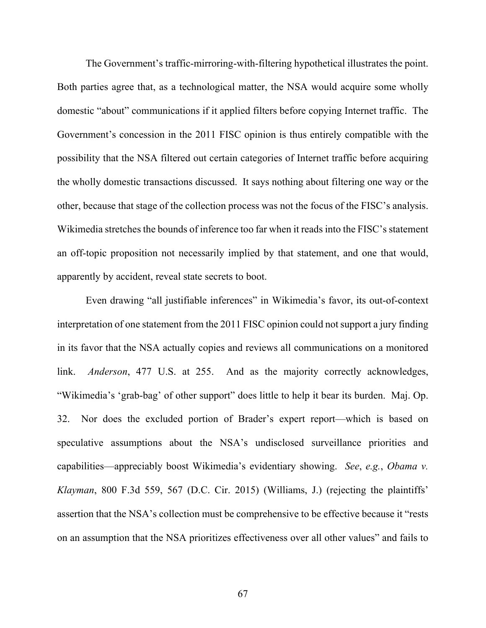The Government's traffic-mirroring-with-filtering hypothetical illustrates the point. Both parties agree that, as a technological matter, the NSA would acquire some wholly domestic "about" communications if it applied filters before copying Internet traffic. The Government's concession in the 2011 FISC opinion is thus entirely compatible with the possibility that the NSA filtered out certain categories of Internet traffic before acquiring the wholly domestic transactions discussed. It says nothing about filtering one way or the other, because that stage of the collection process was not the focus of the FISC's analysis. Wikimedia stretches the bounds of inference too far when it reads into the FISC's statement an off-topic proposition not necessarily implied by that statement, and one that would, apparently by accident, reveal state secrets to boot.

Even drawing "all justifiable inferences" in Wikimedia's favor, its out-of-context interpretation of one statement from the 2011 FISC opinion could not support a jury finding in its favor that the NSA actually copies and reviews all communications on a monitored link. *Anderson*, 477 U.S. at 255. And as the majority correctly acknowledges, "Wikimedia's 'grab-bag' of other support" does little to help it bear its burden. Maj. Op. 32. Nor does the excluded portion of Brader's expert report—which is based on speculative assumptions about the NSA's undisclosed surveillance priorities and capabilities—appreciably boost Wikimedia's evidentiary showing. *See*, *e.g.*, *Obama v. Klayman*, 800 F.3d 559, 567 (D.C. Cir. 2015) (Williams, J.) (rejecting the plaintiffs' assertion that the NSA's collection must be comprehensive to be effective because it "rests on an assumption that the NSA prioritizes effectiveness over all other values" and fails to